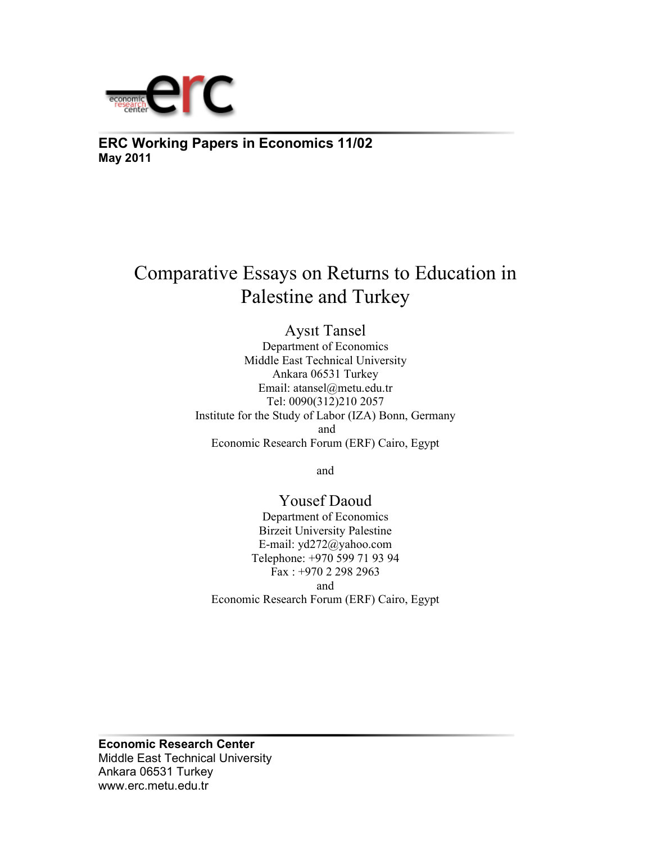

**ERC Working Papers in Economics 11/02 May 2011**

# Comparative Essays on Returns to Education in Palestine and Turkey

Aysıt Tansel Department of Economics Middle East Technical University Ankara 06531 Turkey Email: atansel@metu.edu.tr Tel: 0090(312)210 2057 Institute for the Study of Labor (IZA) Bonn, Germany and Economic Research Forum (ERF) Cairo, Egypt

and

Yousef Daoud Department of Economics Birzeit University Palestine E-mail: yd272@yahoo.com Telephone: +970 599 71 93 94 Fax : +970 2 298 2963 and Economic Research Forum (ERF) Cairo, Egypt

**Economic Research Center**  Middle East Technical University Ankara 06531 Turkey www.erc.metu.edu.tr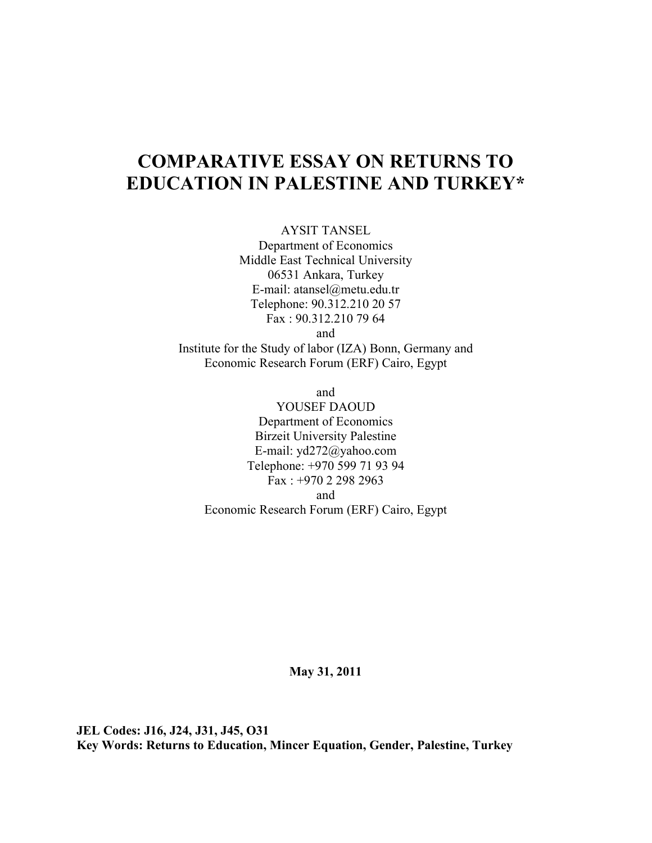## **COMPARATIVE ESSAY ON RETURNS TO EDUCATION IN PALESTINE AND TURKEY\***

AYSIT TANSEL Department of Economics Middle East Technical University 06531 Ankara, Turkey E-mail: atansel@metu.edu.tr Telephone: 90.312.210 20 57 Fax : 90.312.210 79 64 and Institute for the Study of labor (IZA) Bonn, Germany and Economic Research Forum (ERF) Cairo, Egypt

and YOUSEF DAOUD Department of Economics Birzeit University Palestine E-mail: yd272@yahoo.com Telephone: +970 599 71 93 94 Fax : +970 2 298 2963 and Economic Research Forum (ERF) Cairo, Egypt

**May 31, 2011** 

**JEL Codes: J16, J24, J31, J45, O31 Key Words: Returns to Education, Mincer Equation, Gender, Palestine, Turkey**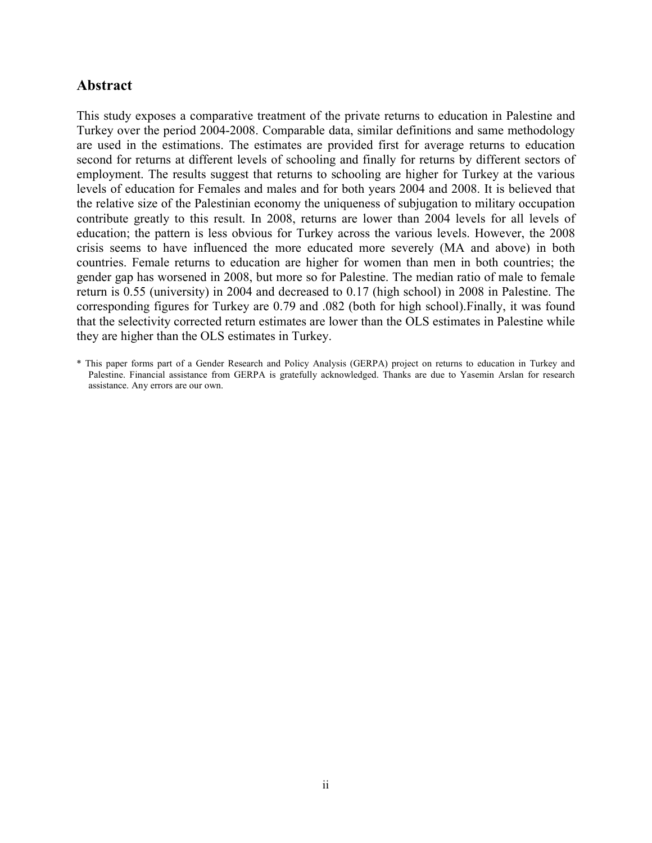## **Abstract**

This study exposes a comparative treatment of the private returns to education in Palestine and Turkey over the period 2004-2008. Comparable data, similar definitions and same methodology are used in the estimations. The estimates are provided first for average returns to education second for returns at different levels of schooling and finally for returns by different sectors of employment. The results suggest that returns to schooling are higher for Turkey at the various levels of education for Females and males and for both years 2004 and 2008. It is believed that the relative size of the Palestinian economy the uniqueness of subjugation to military occupation contribute greatly to this result. In 2008, returns are lower than 2004 levels for all levels of education; the pattern is less obvious for Turkey across the various levels. However, the 2008 crisis seems to have influenced the more educated more severely (MA and above) in both countries. Female returns to education are higher for women than men in both countries; the gender gap has worsened in 2008, but more so for Palestine. The median ratio of male to female return is 0.55 (university) in 2004 and decreased to 0.17 (high school) in 2008 in Palestine. The corresponding figures for Turkey are 0.79 and .082 (both for high school).Finally, it was found that the selectivity corrected return estimates are lower than the OLS estimates in Palestine while they are higher than the OLS estimates in Turkey.

<sup>\*</sup> This paper forms part of a Gender Research and Policy Analysis (GERPA) project on returns to education in Turkey and Palestine. Financial assistance from GERPA is gratefully acknowledged. Thanks are due to Yasemin Arslan for research assistance. Any errors are our own.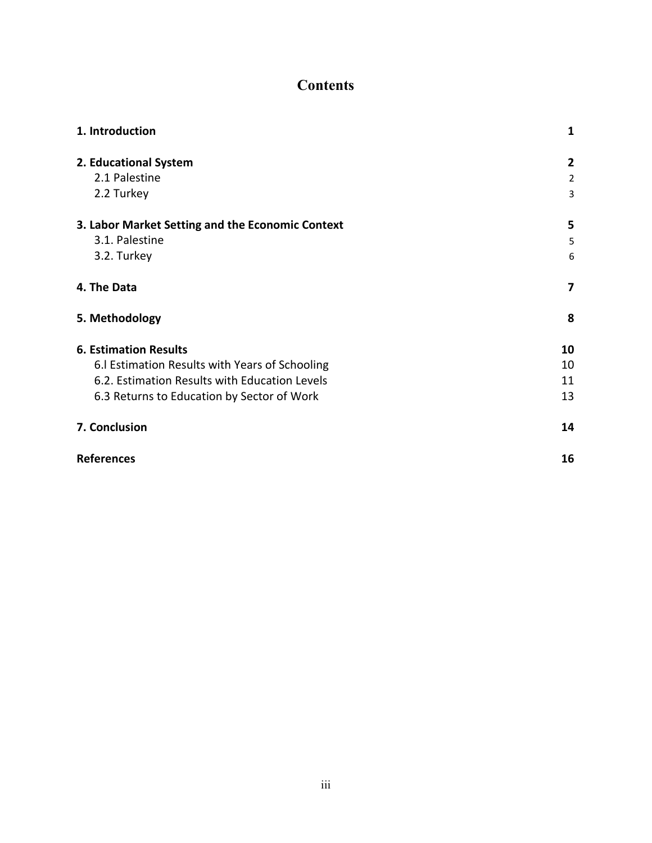## **Contents**

| 1. Introduction                                  | 1              |
|--------------------------------------------------|----------------|
| 2. Educational System                            | $\mathbf{2}$   |
| 2.1 Palestine                                    | $\overline{2}$ |
| 2.2 Turkey                                       | 3              |
| 3. Labor Market Setting and the Economic Context | 5              |
| 3.1. Palestine                                   | 5              |
| 3.2. Turkey                                      | 6              |
| 4. The Data                                      | 7              |
| 5. Methodology                                   | 8              |
| <b>6. Estimation Results</b>                     | 10             |
| 6. Estimation Results with Years of Schooling    | 10             |
| 6.2. Estimation Results with Education Levels    | 11             |
| 6.3 Returns to Education by Sector of Work       | 13             |
| 7. Conclusion                                    | 14             |
| <b>References</b>                                | 16             |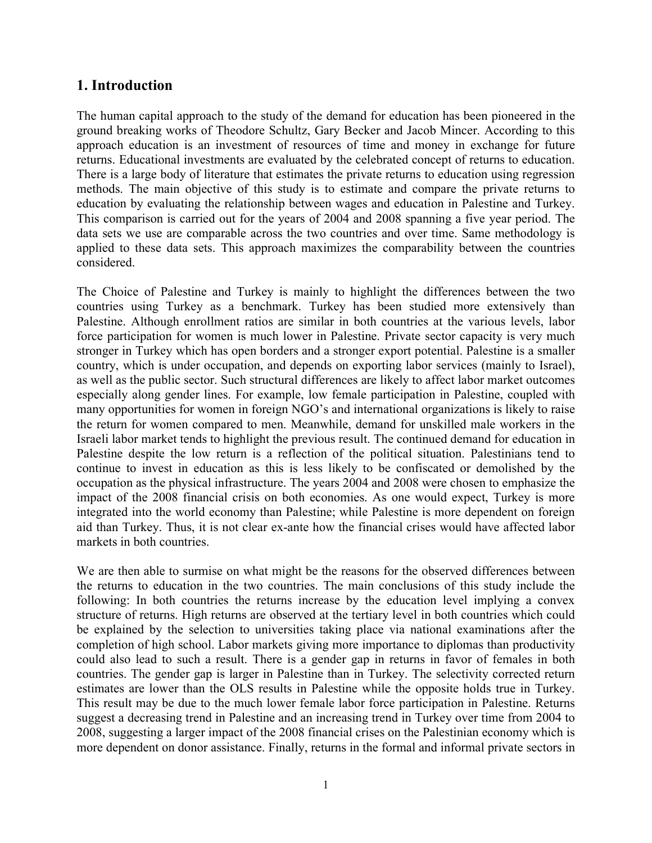## **1. Introduction**

The human capital approach to the study of the demand for education has been pioneered in the ground breaking works of Theodore Schultz, Gary Becker and Jacob Mincer. According to this approach education is an investment of resources of time and money in exchange for future returns. Educational investments are evaluated by the celebrated concept of returns to education. There is a large body of literature that estimates the private returns to education using regression methods. The main objective of this study is to estimate and compare the private returns to education by evaluating the relationship between wages and education in Palestine and Turkey. This comparison is carried out for the years of 2004 and 2008 spanning a five year period. The data sets we use are comparable across the two countries and over time. Same methodology is applied to these data sets. This approach maximizes the comparability between the countries considered.

The Choice of Palestine and Turkey is mainly to highlight the differences between the two countries using Turkey as a benchmark. Turkey has been studied more extensively than Palestine. Although enrollment ratios are similar in both countries at the various levels, labor force participation for women is much lower in Palestine. Private sector capacity is very much stronger in Turkey which has open borders and a stronger export potential. Palestine is a smaller country, which is under occupation, and depends on exporting labor services (mainly to Israel), as well as the public sector. Such structural differences are likely to affect labor market outcomes especially along gender lines. For example, low female participation in Palestine, coupled with many opportunities for women in foreign NGO's and international organizations is likely to raise the return for women compared to men. Meanwhile, demand for unskilled male workers in the Israeli labor market tends to highlight the previous result. The continued demand for education in Palestine despite the low return is a reflection of the political situation. Palestinians tend to continue to invest in education as this is less likely to be confiscated or demolished by the occupation as the physical infrastructure. The years 2004 and 2008 were chosen to emphasize the impact of the 2008 financial crisis on both economies. As one would expect, Turkey is more integrated into the world economy than Palestine; while Palestine is more dependent on foreign aid than Turkey. Thus, it is not clear ex-ante how the financial crises would have affected labor markets in both countries.

We are then able to surmise on what might be the reasons for the observed differences between the returns to education in the two countries. The main conclusions of this study include the following: In both countries the returns increase by the education level implying a convex structure of returns. High returns are observed at the tertiary level in both countries which could be explained by the selection to universities taking place via national examinations after the completion of high school. Labor markets giving more importance to diplomas than productivity could also lead to such a result. There is a gender gap in returns in favor of females in both countries. The gender gap is larger in Palestine than in Turkey. The selectivity corrected return estimates are lower than the OLS results in Palestine while the opposite holds true in Turkey. This result may be due to the much lower female labor force participation in Palestine. Returns suggest a decreasing trend in Palestine and an increasing trend in Turkey over time from 2004 to 2008, suggesting a larger impact of the 2008 financial crises on the Palestinian economy which is more dependent on donor assistance. Finally, returns in the formal and informal private sectors in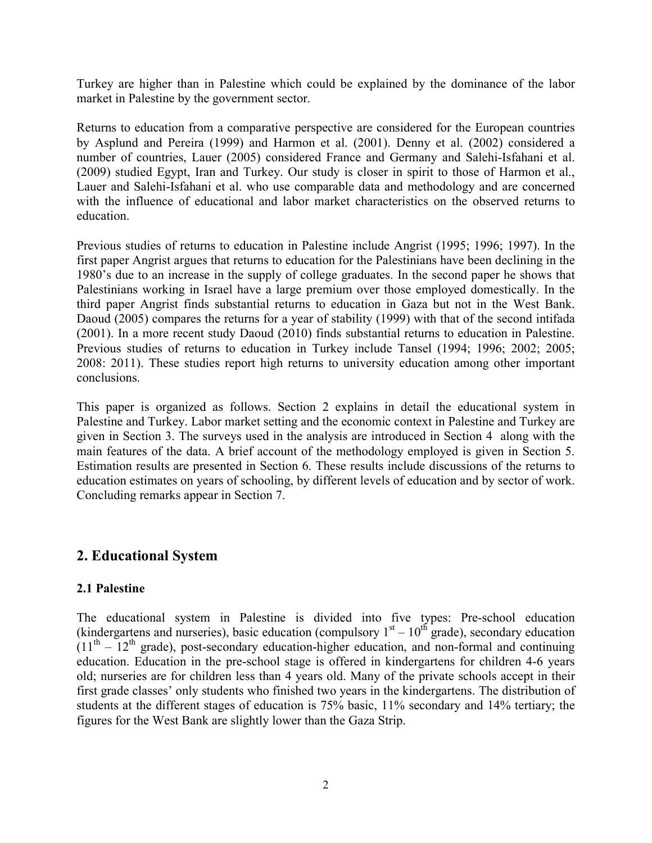Turkey are higher than in Palestine which could be explained by the dominance of the labor market in Palestine by the government sector.

Returns to education from a comparative perspective are considered for the European countries by Asplund and Pereira (1999) and Harmon et al. (2001). Denny et al. (2002) considered a number of countries, Lauer (2005) considered France and Germany and Salehi-Isfahani et al. (2009) studied Egypt, Iran and Turkey. Our study is closer in spirit to those of Harmon et al., Lauer and Salehi-Isfahani et al. who use comparable data and methodology and are concerned with the influence of educational and labor market characteristics on the observed returns to education.

Previous studies of returns to education in Palestine include Angrist (1995; 1996; 1997). In the first paper Angrist argues that returns to education for the Palestinians have been declining in the 1980's due to an increase in the supply of college graduates. In the second paper he shows that Palestinians working in Israel have a large premium over those employed domestically. In the third paper Angrist finds substantial returns to education in Gaza but not in the West Bank. Daoud (2005) compares the returns for a year of stability (1999) with that of the second intifada (2001). In a more recent study Daoud (2010) finds substantial returns to education in Palestine. Previous studies of returns to education in Turkey include Tansel (1994; 1996; 2002; 2005; 2008: 2011). These studies report high returns to university education among other important conclusions.

This paper is organized as follows. Section 2 explains in detail the educational system in Palestine and Turkey. Labor market setting and the economic context in Palestine and Turkey are given in Section 3. The surveys used in the analysis are introduced in Section 4 along with the main features of the data. A brief account of the methodology employed is given in Section 5. Estimation results are presented in Section 6. These results include discussions of the returns to education estimates on years of schooling, by different levels of education and by sector of work. Concluding remarks appear in Section 7.

## **2. Educational System**

## **2.1 Palestine**

The educational system in Palestine is divided into five types: Pre-school education (kindergartens and nurseries), basic education (compulsory  $1<sup>st</sup> - 10<sup>th</sup>$  grade), secondary education  $(11<sup>th</sup> – 12<sup>th</sup> grade)$ , post-secondary education-higher education, and non-formal and continuing education. Education in the pre-school stage is offered in kindergartens for children 4-6 years old; nurseries are for children less than 4 years old. Many of the private schools accept in their first grade classes' only students who finished two years in the kindergartens. The distribution of students at the different stages of education is 75% basic, 11% secondary and 14% tertiary; the figures for the West Bank are slightly lower than the Gaza Strip.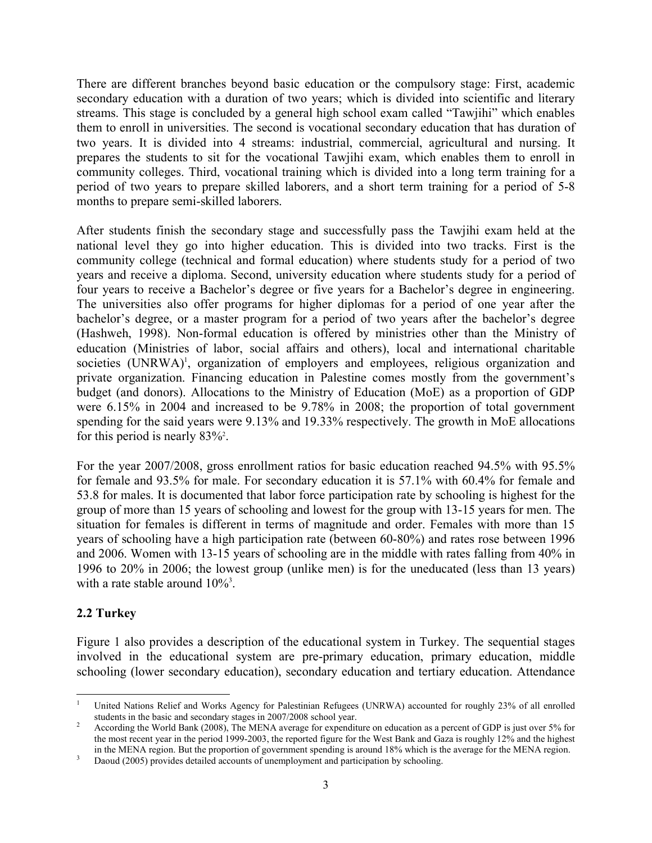There are different branches beyond basic education or the compulsory stage: First, academic secondary education with a duration of two years; which is divided into scientific and literary streams. This stage is concluded by a general high school exam called "Tawjihi" which enables them to enroll in universities. The second is vocational secondary education that has duration of two years. It is divided into 4 streams: industrial, commercial, agricultural and nursing. It prepares the students to sit for the vocational Tawjihi exam, which enables them to enroll in community colleges. Third, vocational training which is divided into a long term training for a period of two years to prepare skilled laborers, and a short term training for a period of 5-8 months to prepare semi-skilled laborers.

After students finish the secondary stage and successfully pass the Tawjihi exam held at the national level they go into higher education. This is divided into two tracks. First is the community college (technical and formal education) where students study for a period of two years and receive a diploma. Second, university education where students study for a period of four years to receive a Bachelor's degree or five years for a Bachelor's degree in engineering. The universities also offer programs for higher diplomas for a period of one year after the bachelor's degree, or a master program for a period of two years after the bachelor's degree (Hashweh, 1998). Non-formal education is offered by ministries other than the Ministry of education (Ministries of labor, social affairs and others), local and international charitable societies (UNRWA)<sup>1</sup>, organization of employers and employees, religious organization and private organization. Financing education in Palestine comes mostly from the government's budget (and donors). Allocations to the Ministry of Education (MoE) as a proportion of GDP were 6.15% in 2004 and increased to be 9.78% in 2008; the proportion of total government spending for the said years were 9.13% and 19.33% respectively. The growth in MoE allocations for this period is nearly 83%<sup>2</sup>.

For the year 2007/2008, gross enrollment ratios for basic education reached 94.5% with 95.5% for female and 93.5% for male. For secondary education it is 57.1% with 60.4% for female and 53.8 for males. It is documented that labor force participation rate by schooling is highest for the group of more than 15 years of schooling and lowest for the group with 13-15 years for men. The situation for females is different in terms of magnitude and order. Females with more than 15 years of schooling have a high participation rate (between 60-80%) and rates rose between 1996 and 2006. Women with 13-15 years of schooling are in the middle with rates falling from 40% in 1996 to 20% in 2006; the lowest group (unlike men) is for the uneducated (less than 13 years) with a rate stable around  $10\%$ <sup>3</sup>.

## **2.2 Turkey**

Figure 1 also provides a description of the educational system in Turkey. The sequential stages involved in the educational system are pre-primary education, primary education, middle schooling (lower secondary education), secondary education and tertiary education. Attendance

l 1 United Nations Relief and Works Agency for Palestinian Refugees (UNRWA) accounted for roughly 23% of all enrolled students in the basic and secondary stages in 2007/2008 school year.

 $\mathcal{L}$  According the World Bank (2008), The MENA average for expenditure on education as a percent of GDP is just over 5% for the most recent year in the period 1999-2003, the reported figure for the West Bank and Gaza is roughly 12% and the highest in the MENA region. But the proportion of government spending is around 18% which is the average for the MENA region.

<sup>3</sup> Daoud (2005) provides detailed accounts of unemployment and participation by schooling.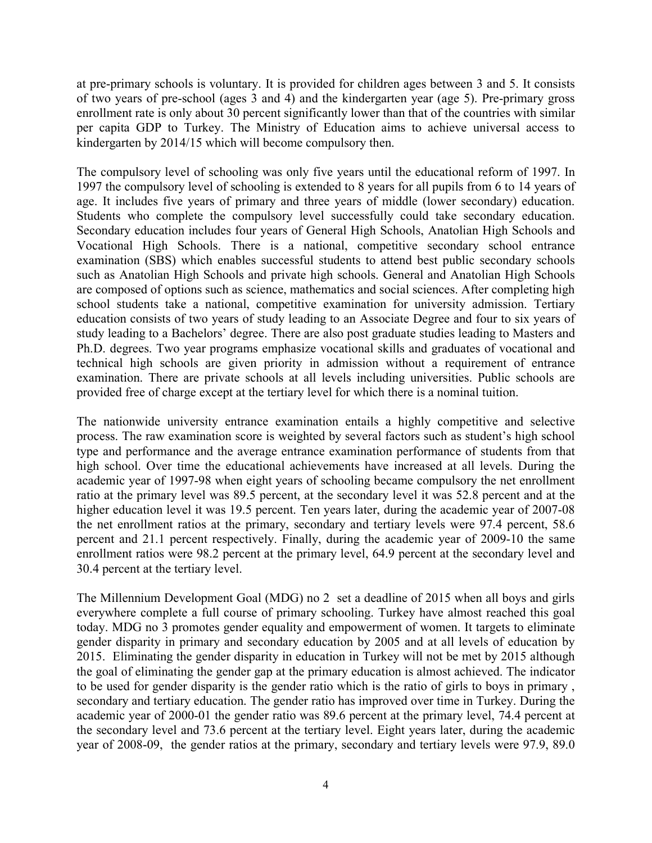at pre-primary schools is voluntary. It is provided for children ages between 3 and 5. It consists of two years of pre-school (ages 3 and 4) and the kindergarten year (age 5). Pre-primary gross enrollment rate is only about 30 percent significantly lower than that of the countries with similar per capita GDP to Turkey. The Ministry of Education aims to achieve universal access to kindergarten by 2014/15 which will become compulsory then.

The compulsory level of schooling was only five years until the educational reform of 1997. In 1997 the compulsory level of schooling is extended to 8 years for all pupils from 6 to 14 years of age. It includes five years of primary and three years of middle (lower secondary) education. Students who complete the compulsory level successfully could take secondary education. Secondary education includes four years of General High Schools, Anatolian High Schools and Vocational High Schools. There is a national, competitive secondary school entrance examination (SBS) which enables successful students to attend best public secondary schools such as Anatolian High Schools and private high schools. General and Anatolian High Schools are composed of options such as science, mathematics and social sciences. After completing high school students take a national, competitive examination for university admission. Tertiary education consists of two years of study leading to an Associate Degree and four to six years of study leading to a Bachelors' degree. There are also post graduate studies leading to Masters and Ph.D. degrees. Two year programs emphasize vocational skills and graduates of vocational and technical high schools are given priority in admission without a requirement of entrance examination. There are private schools at all levels including universities. Public schools are provided free of charge except at the tertiary level for which there is a nominal tuition.

The nationwide university entrance examination entails a highly competitive and selective process. The raw examination score is weighted by several factors such as student's high school type and performance and the average entrance examination performance of students from that high school. Over time the educational achievements have increased at all levels. During the academic year of 1997-98 when eight years of schooling became compulsory the net enrollment ratio at the primary level was 89.5 percent, at the secondary level it was 52.8 percent and at the higher education level it was 19.5 percent. Ten years later, during the academic year of 2007-08 the net enrollment ratios at the primary, secondary and tertiary levels were 97.4 percent, 58.6 percent and 21.1 percent respectively. Finally, during the academic year of 2009-10 the same enrollment ratios were 98.2 percent at the primary level, 64.9 percent at the secondary level and 30.4 percent at the tertiary level.

The Millennium Development Goal (MDG) no 2 set a deadline of 2015 when all boys and girls everywhere complete a full course of primary schooling. Turkey have almost reached this goal today. MDG no 3 promotes gender equality and empowerment of women. It targets to eliminate gender disparity in primary and secondary education by 2005 and at all levels of education by 2015. Eliminating the gender disparity in education in Turkey will not be met by 2015 although the goal of eliminating the gender gap at the primary education is almost achieved. The indicator to be used for gender disparity is the gender ratio which is the ratio of girls to boys in primary , secondary and tertiary education. The gender ratio has improved over time in Turkey. During the academic year of 2000-01 the gender ratio was 89.6 percent at the primary level, 74.4 percent at the secondary level and 73.6 percent at the tertiary level. Eight years later, during the academic year of 2008-09, the gender ratios at the primary, secondary and tertiary levels were 97.9, 89.0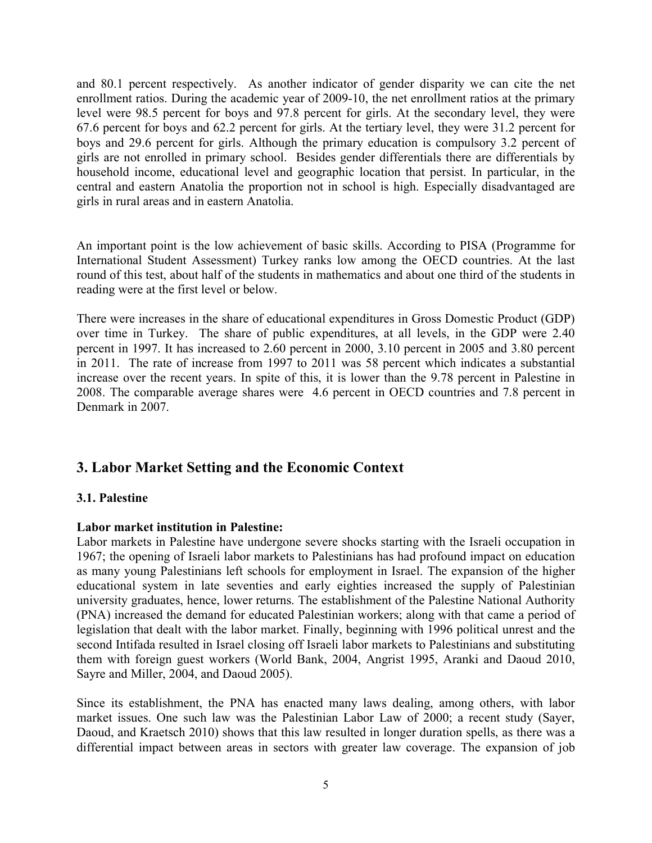and 80.1 percent respectively. As another indicator of gender disparity we can cite the net enrollment ratios. During the academic year of 2009-10, the net enrollment ratios at the primary level were 98.5 percent for boys and 97.8 percent for girls. At the secondary level, they were 67.6 percent for boys and 62.2 percent for girls. At the tertiary level, they were 31.2 percent for boys and 29.6 percent for girls. Although the primary education is compulsory 3.2 percent of girls are not enrolled in primary school. Besides gender differentials there are differentials by household income, educational level and geographic location that persist. In particular, in the central and eastern Anatolia the proportion not in school is high. Especially disadvantaged are girls in rural areas and in eastern Anatolia.

An important point is the low achievement of basic skills. According to PISA (Programme for International Student Assessment) Turkey ranks low among the OECD countries. At the last round of this test, about half of the students in mathematics and about one third of the students in reading were at the first level or below.

There were increases in the share of educational expenditures in Gross Domestic Product (GDP) over time in Turkey. The share of public expenditures, at all levels, in the GDP were 2.40 percent in 1997. It has increased to 2.60 percent in 2000, 3.10 percent in 2005 and 3.80 percent in 2011. The rate of increase from 1997 to 2011 was 58 percent which indicates a substantial increase over the recent years. In spite of this, it is lower than the 9.78 percent in Palestine in 2008. The comparable average shares were 4.6 percent in OECD countries and 7.8 percent in Denmark in 2007.

## **3. Labor Market Setting and the Economic Context**

## **3.1. Palestine**

## **Labor market institution in Palestine:**

Labor markets in Palestine have undergone severe shocks starting with the Israeli occupation in 1967; the opening of Israeli labor markets to Palestinians has had profound impact on education as many young Palestinians left schools for employment in Israel. The expansion of the higher educational system in late seventies and early eighties increased the supply of Palestinian university graduates, hence, lower returns. The establishment of the Palestine National Authority (PNA) increased the demand for educated Palestinian workers; along with that came a period of legislation that dealt with the labor market. Finally, beginning with 1996 political unrest and the second Intifada resulted in Israel closing off Israeli labor markets to Palestinians and substituting them with foreign guest workers (World Bank, 2004, Angrist 1995, Aranki and Daoud 2010, Sayre and Miller, 2004, and Daoud 2005).

Since its establishment, the PNA has enacted many laws dealing, among others, with labor market issues. One such law was the Palestinian Labor Law of 2000; a recent study (Sayer, Daoud, and Kraetsch 2010) shows that this law resulted in longer duration spells, as there was a differential impact between areas in sectors with greater law coverage. The expansion of job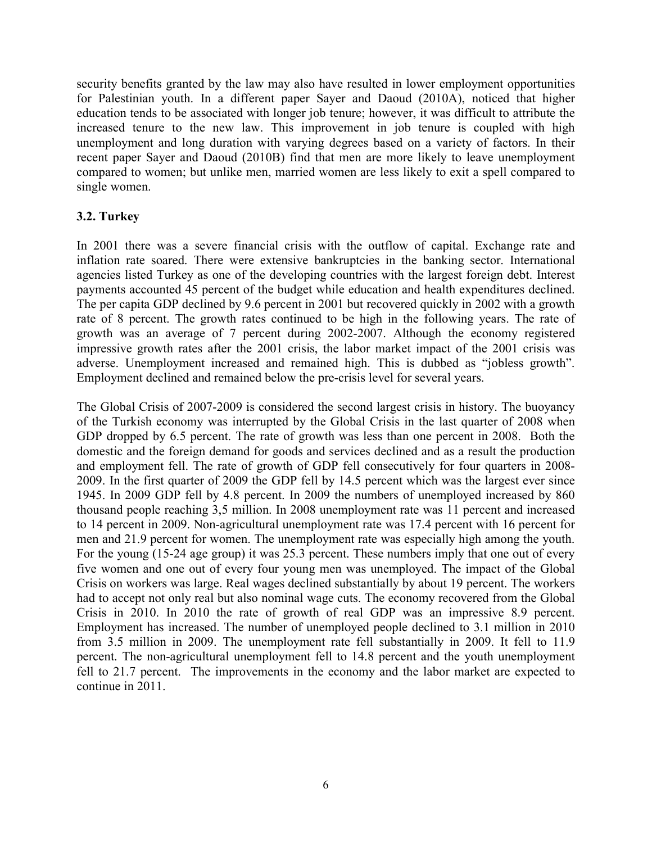security benefits granted by the law may also have resulted in lower employment opportunities for Palestinian youth. In a different paper Sayer and Daoud (2010A), noticed that higher education tends to be associated with longer job tenure; however, it was difficult to attribute the increased tenure to the new law. This improvement in job tenure is coupled with high unemployment and long duration with varying degrees based on a variety of factors. In their recent paper Sayer and Daoud (2010B) find that men are more likely to leave unemployment compared to women; but unlike men, married women are less likely to exit a spell compared to single women.

## **3.2. Turkey**

In 2001 there was a severe financial crisis with the outflow of capital. Exchange rate and inflation rate soared. There were extensive bankruptcies in the banking sector. International agencies listed Turkey as one of the developing countries with the largest foreign debt. Interest payments accounted 45 percent of the budget while education and health expenditures declined. The per capita GDP declined by 9.6 percent in 2001 but recovered quickly in 2002 with a growth rate of 8 percent. The growth rates continued to be high in the following years. The rate of growth was an average of 7 percent during 2002-2007. Although the economy registered impressive growth rates after the 2001 crisis, the labor market impact of the 2001 crisis was adverse. Unemployment increased and remained high. This is dubbed as "jobless growth". Employment declined and remained below the pre-crisis level for several years.

The Global Crisis of 2007-2009 is considered the second largest crisis in history. The buoyancy of the Turkish economy was interrupted by the Global Crisis in the last quarter of 2008 when GDP dropped by 6.5 percent. The rate of growth was less than one percent in 2008. Both the domestic and the foreign demand for goods and services declined and as a result the production and employment fell. The rate of growth of GDP fell consecutively for four quarters in 2008- 2009. In the first quarter of 2009 the GDP fell by 14.5 percent which was the largest ever since 1945. In 2009 GDP fell by 4.8 percent. In 2009 the numbers of unemployed increased by 860 thousand people reaching 3,5 million. In 2008 unemployment rate was 11 percent and increased to 14 percent in 2009. Non-agricultural unemployment rate was 17.4 percent with 16 percent for men and 21.9 percent for women. The unemployment rate was especially high among the youth. For the young (15-24 age group) it was 25.3 percent. These numbers imply that one out of every five women and one out of every four young men was unemployed. The impact of the Global Crisis on workers was large. Real wages declined substantially by about 19 percent. The workers had to accept not only real but also nominal wage cuts. The economy recovered from the Global Crisis in 2010. In 2010 the rate of growth of real GDP was an impressive 8.9 percent. Employment has increased. The number of unemployed people declined to 3.1 million in 2010 from 3.5 million in 2009. The unemployment rate fell substantially in 2009. It fell to 11.9 percent. The non-agricultural unemployment fell to 14.8 percent and the youth unemployment fell to 21.7 percent. The improvements in the economy and the labor market are expected to continue in 2011.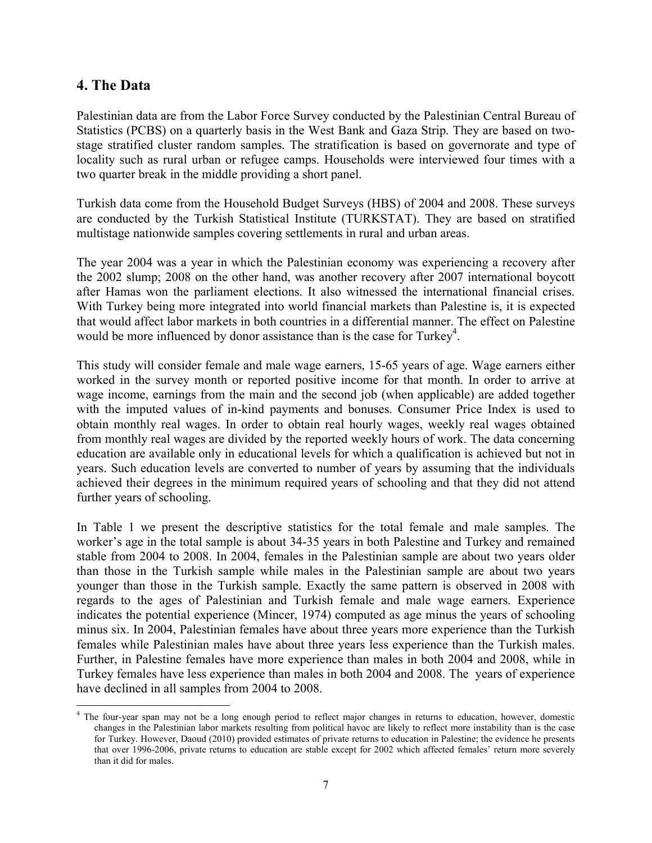## **4. The Data**

 $\overline{a}$ 

Palestinian data are from the Labor Force Survey conducted by the Palestinian Central Bureau of Statistics (PCBS) on a quarterly basis in the West Bank and Gaza Strip. They are based on twostage stratified cluster random samples. The stratification is based on governorate and type of locality such as rural urban or refugee camps. Households were interviewed four times with a two quarter break in the middle providing a short panel.

Turkish data come from the Household Budget Surveys (HBS) of 2004 and 2008. These surveys are conducted by the Turkish Statistical Institute (TURKSTAT). They are based on stratified multistage nationwide samples covering settlements in rural and urban areas.

The year 2004 was a year in which the Palestinian economy was experiencing a recovery after the 2002 slump; 2008 on the other hand, was another recovery after 2007 international boycott after Hamas won the parliament elections. It also witnessed the international financial crises. With Turkey being more integrated into world financial markets than Palestine is, it is expected that would affect labor markets in both countries in a differential manner. The effect on Palestine would be more influenced by donor assistance than is the case for Turkey<sup>4</sup>.

This study will consider female and male wage earners, 15-65 years of age. Wage earners either worked in the survey month or reported positive income for that month. In order to arrive at wage income, earnings from the main and the second job (when applicable) are added together with the imputed values of in-kind payments and bonuses. Consumer Price Index is used to obtain monthly real wages. In order to obtain real hourly wages, weekly real wages obtained from monthly real wages are divided by the reported weekly hours of work. The data concerning education are available only in educational levels for which a qualification is achieved but not in years. Such education levels are converted to number of years by assuming that the individuals achieved their degrees in the minimum required years of schooling and that they did not attend further years of schooling.

In Table 1 we present the descriptive statistics for the total female and male samples. The worker's age in the total sample is about 34-35 years in both Palestine and Turkey and remained stable from 2004 to 2008. In 2004, females in the Palestinian sample are about two years older than those in the Turkish sample while males in the Palestinian sample are about two years younger than those in the Turkish sample. Exactly the same pattern is observed in 2008 with regards to the ages of Palestinian and Turkish female and male wage earners. Experience indicates the potential experience (Mincer, 1974) computed as age minus the years of schooling minus six. In 2004, Palestinian females have about three years more experience than the Turkish females while Palestinian males have about three years less experience than the Turkish males. Further, in Palestine females have more experience than males in both 2004 and 2008, while in Turkey females have less experience than males in both 2004 and 2008. The years of experience have declined in all samples from 2004 to 2008.

<sup>&</sup>lt;sup>4</sup> The four-year span may not be a long enough period to reflect major changes in returns to education, however, domestic changes in the Palestinian labor markets resulting from political havoc are likely to reflect more instability than is the case for Turkey. However, Daoud (2010) provided estimates of private returns to education in Palestine; the evidence he presents that over 1996-2006, private returns to education are stable except for 2002 which affected females' return more severely than it did for males.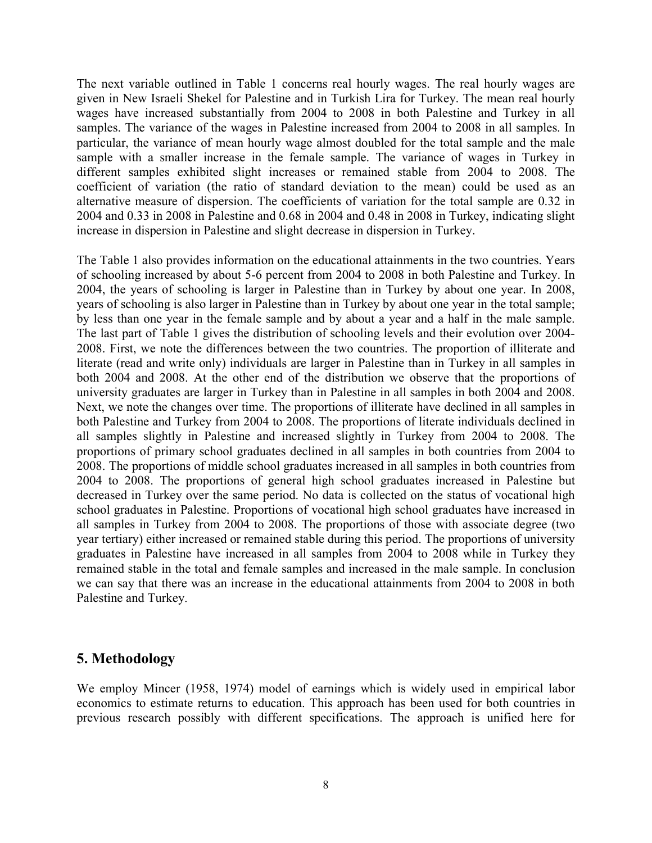The next variable outlined in Table 1 concerns real hourly wages. The real hourly wages are given in New Israeli Shekel for Palestine and in Turkish Lira for Turkey. The mean real hourly wages have increased substantially from 2004 to 2008 in both Palestine and Turkey in all samples. The variance of the wages in Palestine increased from 2004 to 2008 in all samples. In particular, the variance of mean hourly wage almost doubled for the total sample and the male sample with a smaller increase in the female sample. The variance of wages in Turkey in different samples exhibited slight increases or remained stable from 2004 to 2008. The coefficient of variation (the ratio of standard deviation to the mean) could be used as an alternative measure of dispersion. The coefficients of variation for the total sample are 0.32 in 2004 and 0.33 in 2008 in Palestine and 0.68 in 2004 and 0.48 in 2008 in Turkey, indicating slight increase in dispersion in Palestine and slight decrease in dispersion in Turkey.

The Table 1 also provides information on the educational attainments in the two countries. Years of schooling increased by about 5-6 percent from 2004 to 2008 in both Palestine and Turkey. In 2004, the years of schooling is larger in Palestine than in Turkey by about one year. In 2008, years of schooling is also larger in Palestine than in Turkey by about one year in the total sample; by less than one year in the female sample and by about a year and a half in the male sample. The last part of Table 1 gives the distribution of schooling levels and their evolution over 2004- 2008. First, we note the differences between the two countries. The proportion of illiterate and literate (read and write only) individuals are larger in Palestine than in Turkey in all samples in both 2004 and 2008. At the other end of the distribution we observe that the proportions of university graduates are larger in Turkey than in Palestine in all samples in both 2004 and 2008. Next, we note the changes over time. The proportions of illiterate have declined in all samples in both Palestine and Turkey from 2004 to 2008. The proportions of literate individuals declined in all samples slightly in Palestine and increased slightly in Turkey from 2004 to 2008. The proportions of primary school graduates declined in all samples in both countries from 2004 to 2008. The proportions of middle school graduates increased in all samples in both countries from 2004 to 2008. The proportions of general high school graduates increased in Palestine but decreased in Turkey over the same period. No data is collected on the status of vocational high school graduates in Palestine. Proportions of vocational high school graduates have increased in all samples in Turkey from 2004 to 2008. The proportions of those with associate degree (two year tertiary) either increased or remained stable during this period. The proportions of university graduates in Palestine have increased in all samples from 2004 to 2008 while in Turkey they remained stable in the total and female samples and increased in the male sample. In conclusion we can say that there was an increase in the educational attainments from 2004 to 2008 in both Palestine and Turkey.

## **5. Methodology**

We employ Mincer (1958, 1974) model of earnings which is widely used in empirical labor economics to estimate returns to education. This approach has been used for both countries in previous research possibly with different specifications. The approach is unified here for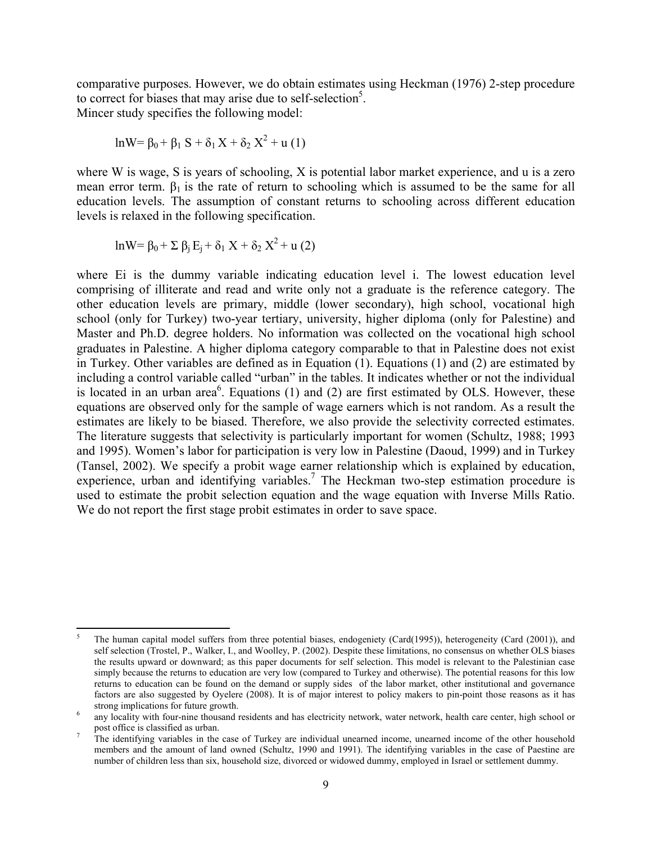comparative purposes. However, we do obtain estimates using Heckman (1976) 2-step procedure to correct for biases that may arise due to self-selection<sup>5</sup>. Mincer study specifies the following model:

$$
ln W = \beta_0 + \beta_1 S + \delta_1 X + \delta_2 X^2 + u(1)
$$

where W is wage, S is years of schooling, X is potential labor market experience, and u is a zero mean error term.  $\beta_1$  is the rate of return to schooling which is assumed to be the same for all education levels. The assumption of constant returns to schooling across different education levels is relaxed in the following specification.

$$
ln W = \beta_0 + \Sigma \beta_j E_j + \delta_1 X + \delta_2 X^2 + u(2)
$$

 $\overline{a}$ 

where Ei is the dummy variable indicating education level i. The lowest education level comprising of illiterate and read and write only not a graduate is the reference category. The other education levels are primary, middle (lower secondary), high school, vocational high school (only for Turkey) two-year tertiary, university, higher diploma (only for Palestine) and Master and Ph.D. degree holders. No information was collected on the vocational high school graduates in Palestine. A higher diploma category comparable to that in Palestine does not exist in Turkey. Other variables are defined as in Equation (1). Equations (1) and (2) are estimated by including a control variable called "urban" in the tables. It indicates whether or not the individual is located in an urban area<sup>6</sup>. Equations (1) and (2) are first estimated by OLS. However, these equations are observed only for the sample of wage earners which is not random. As a result the estimates are likely to be biased. Therefore, we also provide the selectivity corrected estimates. The literature suggests that selectivity is particularly important for women (Schultz, 1988; 1993 and 1995). Women's labor for participation is very low in Palestine (Daoud, 1999) and in Turkey (Tansel, 2002). We specify a probit wage earner relationship which is explained by education, experience, urban and identifying variables.<sup>7</sup> The Heckman two-step estimation procedure is used to estimate the probit selection equation and the wage equation with Inverse Mills Ratio. We do not report the first stage probit estimates in order to save space.

<sup>5</sup> The human capital model suffers from three potential biases, endogeniety (Card(1995)), heterogeneity (Card (2001)), and self selection (Trostel, P., Walker, I., and Woolley, P. (2002). Despite these limitations, no consensus on whether OLS biases the results upward or downward; as this paper documents for self selection. This model is relevant to the Palestinian case simply because the returns to education are very low (compared to Turkey and otherwise). The potential reasons for this low returns to education can be found on the demand or supply sides of the labor market, other institutional and governance factors are also suggested by Oyelere (2008). It is of major interest to policy makers to pin-point those reasons as it has strong implications for future growth.

<sup>6</sup> any locality with four-nine thousand residents and has electricity network, water network, health care center, high school or post office is classified as urban.

<sup>7</sup> The identifying variables in the case of Turkey are individual unearned income, unearned income of the other household members and the amount of land owned (Schultz, 1990 and 1991). The identifying variables in the case of Paestine are number of children less than six, household size, divorced or widowed dummy, employed in Israel or settlement dummy.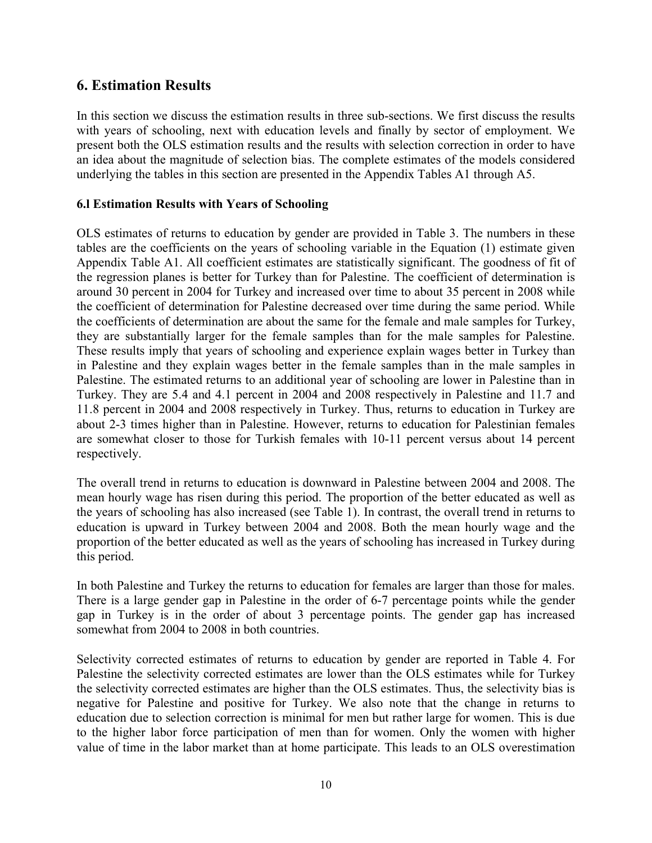## **6. Estimation Results**

In this section we discuss the estimation results in three sub-sections. We first discuss the results with years of schooling, next with education levels and finally by sector of employment. We present both the OLS estimation results and the results with selection correction in order to have an idea about the magnitude of selection bias. The complete estimates of the models considered underlying the tables in this section are presented in the Appendix Tables A1 through A5.

#### **6.l Estimation Results with Years of Schooling**

OLS estimates of returns to education by gender are provided in Table 3. The numbers in these tables are the coefficients on the years of schooling variable in the Equation (1) estimate given Appendix Table A1. All coefficient estimates are statistically significant. The goodness of fit of the regression planes is better for Turkey than for Palestine. The coefficient of determination is around 30 percent in 2004 for Turkey and increased over time to about 35 percent in 2008 while the coefficient of determination for Palestine decreased over time during the same period. While the coefficients of determination are about the same for the female and male samples for Turkey, they are substantially larger for the female samples than for the male samples for Palestine. These results imply that years of schooling and experience explain wages better in Turkey than in Palestine and they explain wages better in the female samples than in the male samples in Palestine. The estimated returns to an additional year of schooling are lower in Palestine than in Turkey. They are 5.4 and 4.1 percent in 2004 and 2008 respectively in Palestine and 11.7 and 11.8 percent in 2004 and 2008 respectively in Turkey. Thus, returns to education in Turkey are about 2-3 times higher than in Palestine. However, returns to education for Palestinian females are somewhat closer to those for Turkish females with 10-11 percent versus about 14 percent respectively.

The overall trend in returns to education is downward in Palestine between 2004 and 2008. The mean hourly wage has risen during this period. The proportion of the better educated as well as the years of schooling has also increased (see Table 1). In contrast, the overall trend in returns to education is upward in Turkey between 2004 and 2008. Both the mean hourly wage and the proportion of the better educated as well as the years of schooling has increased in Turkey during this period.

In both Palestine and Turkey the returns to education for females are larger than those for males. There is a large gender gap in Palestine in the order of 6-7 percentage points while the gender gap in Turkey is in the order of about 3 percentage points. The gender gap has increased somewhat from 2004 to 2008 in both countries.

Selectivity corrected estimates of returns to education by gender are reported in Table 4. For Palestine the selectivity corrected estimates are lower than the OLS estimates while for Turkey the selectivity corrected estimates are higher than the OLS estimates. Thus, the selectivity bias is negative for Palestine and positive for Turkey. We also note that the change in returns to education due to selection correction is minimal for men but rather large for women. This is due to the higher labor force participation of men than for women. Only the women with higher value of time in the labor market than at home participate. This leads to an OLS overestimation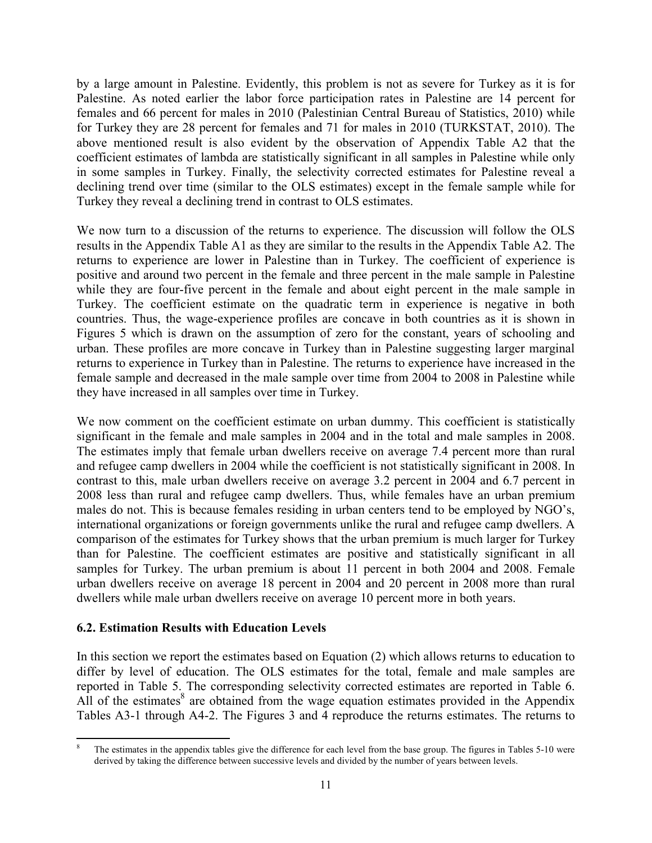by a large amount in Palestine. Evidently, this problem is not as severe for Turkey as it is for Palestine. As noted earlier the labor force participation rates in Palestine are 14 percent for females and 66 percent for males in 2010 (Palestinian Central Bureau of Statistics, 2010) while for Turkey they are 28 percent for females and 71 for males in 2010 (TURKSTAT, 2010). The above mentioned result is also evident by the observation of Appendix Table A2 that the coefficient estimates of lambda are statistically significant in all samples in Palestine while only in some samples in Turkey. Finally, the selectivity corrected estimates for Palestine reveal a declining trend over time (similar to the OLS estimates) except in the female sample while for Turkey they reveal a declining trend in contrast to OLS estimates.

We now turn to a discussion of the returns to experience. The discussion will follow the OLS results in the Appendix Table A1 as they are similar to the results in the Appendix Table A2. The returns to experience are lower in Palestine than in Turkey. The coefficient of experience is positive and around two percent in the female and three percent in the male sample in Palestine while they are four-five percent in the female and about eight percent in the male sample in Turkey. The coefficient estimate on the quadratic term in experience is negative in both countries. Thus, the wage-experience profiles are concave in both countries as it is shown in Figures 5 which is drawn on the assumption of zero for the constant, years of schooling and urban. These profiles are more concave in Turkey than in Palestine suggesting larger marginal returns to experience in Turkey than in Palestine. The returns to experience have increased in the female sample and decreased in the male sample over time from 2004 to 2008 in Palestine while they have increased in all samples over time in Turkey.

We now comment on the coefficient estimate on urban dummy. This coefficient is statistically significant in the female and male samples in 2004 and in the total and male samples in 2008. The estimates imply that female urban dwellers receive on average 7.4 percent more than rural and refugee camp dwellers in 2004 while the coefficient is not statistically significant in 2008. In contrast to this, male urban dwellers receive on average 3.2 percent in 2004 and 6.7 percent in 2008 less than rural and refugee camp dwellers. Thus, while females have an urban premium males do not. This is because females residing in urban centers tend to be employed by NGO's, international organizations or foreign governments unlike the rural and refugee camp dwellers. A comparison of the estimates for Turkey shows that the urban premium is much larger for Turkey than for Palestine. The coefficient estimates are positive and statistically significant in all samples for Turkey. The urban premium is about 11 percent in both 2004 and 2008. Female urban dwellers receive on average 18 percent in 2004 and 20 percent in 2008 more than rural dwellers while male urban dwellers receive on average 10 percent more in both years.

#### **6.2. Estimation Results with Education Levels**

In this section we report the estimates based on Equation (2) which allows returns to education to differ by level of education. The OLS estimates for the total, female and male samples are reported in Table 5. The corresponding selectivity corrected estimates are reported in Table 6. All of the estimates $<sup>8</sup>$  are obtained from the wage equation estimates provided in the Appendix</sup> Tables A3-1 through A4-2. The Figures 3 and 4 reproduce the returns estimates. The returns to

 $\overline{a}$ 8 The estimates in the appendix tables give the difference for each level from the base group. The figures in Tables 5-10 were derived by taking the difference between successive levels and divided by the number of years between levels.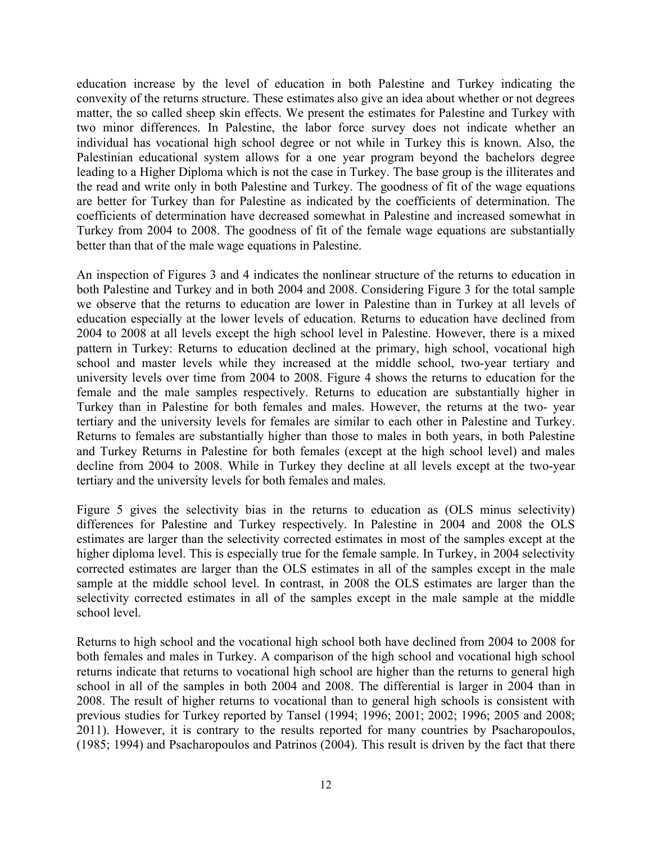education increase by the level of education in both Palestine and Turkey indicating the convexity of the returns structure. These estimates also give an idea about whether or not degrees matter, the so called sheep skin effects. We present the estimates for Palestine and Turkey with two minor differences. In Palestine, the labor force survey does not indicate whether an individual has vocational high school degree or not while in Turkey this is known. Also, the Palestinian educational system allows for a one year program beyond the bachelors degree leading to a Higher Diploma which is not the case in Turkey. The base group is the illiterates and the read and write only in both Palestine and Turkey. The goodness of fit of the wage equations are better for Turkey than for Palestine as indicated by the coefficients of determination. The coefficients of determination have decreased somewhat in Palestine and increased somewhat in Turkey from 2004 to 2008. The goodness of fit of the female wage equations are substantially better than that of the male wage equations in Palestine.

An inspection of Figures 3 and 4 indicates the nonlinear structure of the returns to education in both Palestine and Turkey and in both 2004 and 2008. Considering Figure 3 for the total sample we observe that the returns to education are lower in Palestine than in Turkey at all levels of education especially at the lower levels of education. Returns to education have declined from 2004 to 2008 at all levels except the high school level in Palestine. However, there is a mixed pattern in Turkey: Returns to education declined at the primary, high school, vocational high school and master levels while they increased at the middle school, two-year tertiary and university levels over time from 2004 to 2008. Figure 4 shows the returns to education for the female and the male samples respectively. Returns to education are substantially higher in Turkey than in Palestine for both females and males. However, the returns at the two- year tertiary and the university levels for females are similar to each other in Palestine and Turkey. Returns to females are substantially higher than those to males in both years, in both Palestine and Turkey Returns in Palestine for both females (except at the high school level) and males decline from 2004 to 2008. While in Turkey they decline at all levels except at the two-year tertiary and the university levels for both females and males.

Figure 5 gives the selectivity bias in the returns to education as (OLS minus selectivity) differences for Palestine and Turkey respectively. In Palestine in 2004 and 2008 the OLS estimates are larger than the selectivity corrected estimates in most of the samples except at the higher diploma level. This is especially true for the female sample. In Turkey, in 2004 selectivity corrected estimates are larger than the OLS estimates in all of the samples except in the male sample at the middle school level. In contrast, in 2008 the OLS estimates are larger than the selectivity corrected estimates in all of the samples except in the male sample at the middle school level.

Returns to high school and the vocational high school both have declined from 2004 to 2008 for both females and males in Turkey. A comparison of the high school and vocational high school returns indicate that returns to vocational high school are higher than the returns to general high school in all of the samples in both 2004 and 2008. The differential is larger in 2004 than in 2008. The result of higher returns to vocational than to general high schools is consistent with previous studies for Turkey reported by Tansel (1994; 1996; 2001; 2002; 1996; 2005 and 2008; 2011). However, it is contrary to the results reported for many countries by Psacharopoulos, (1985; 1994) and Psacharopoulos and Patrinos (2004). This result is driven by the fact that there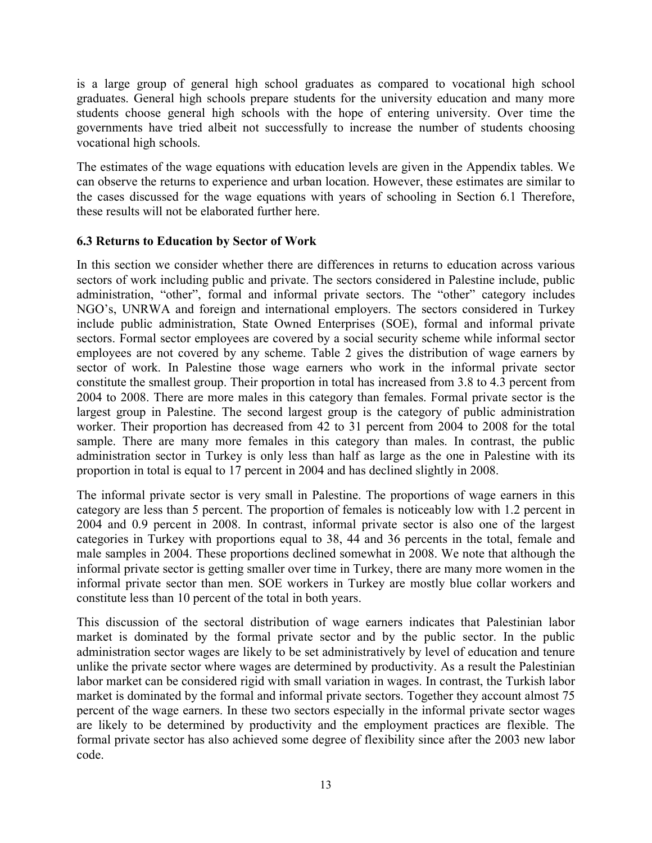is a large group of general high school graduates as compared to vocational high school graduates. General high schools prepare students for the university education and many more students choose general high schools with the hope of entering university. Over time the governments have tried albeit not successfully to increase the number of students choosing vocational high schools.

The estimates of the wage equations with education levels are given in the Appendix tables. We can observe the returns to experience and urban location. However, these estimates are similar to the cases discussed for the wage equations with years of schooling in Section 6.1 Therefore, these results will not be elaborated further here.

## **6.3 Returns to Education by Sector of Work**

In this section we consider whether there are differences in returns to education across various sectors of work including public and private. The sectors considered in Palestine include, public administration, "other", formal and informal private sectors. The "other" category includes NGO's, UNRWA and foreign and international employers. The sectors considered in Turkey include public administration, State Owned Enterprises (SOE), formal and informal private sectors. Formal sector employees are covered by a social security scheme while informal sector employees are not covered by any scheme. Table 2 gives the distribution of wage earners by sector of work. In Palestine those wage earners who work in the informal private sector constitute the smallest group. Their proportion in total has increased from 3.8 to 4.3 percent from 2004 to 2008. There are more males in this category than females. Formal private sector is the largest group in Palestine. The second largest group is the category of public administration worker. Their proportion has decreased from 42 to 31 percent from 2004 to 2008 for the total sample. There are many more females in this category than males. In contrast, the public administration sector in Turkey is only less than half as large as the one in Palestine with its proportion in total is equal to 17 percent in 2004 and has declined slightly in 2008.

The informal private sector is very small in Palestine. The proportions of wage earners in this category are less than 5 percent. The proportion of females is noticeably low with 1.2 percent in 2004 and 0.9 percent in 2008. In contrast, informal private sector is also one of the largest categories in Turkey with proportions equal to 38, 44 and 36 percents in the total, female and male samples in 2004. These proportions declined somewhat in 2008. We note that although the informal private sector is getting smaller over time in Turkey, there are many more women in the informal private sector than men. SOE workers in Turkey are mostly blue collar workers and constitute less than 10 percent of the total in both years.

This discussion of the sectoral distribution of wage earners indicates that Palestinian labor market is dominated by the formal private sector and by the public sector. In the public administration sector wages are likely to be set administratively by level of education and tenure unlike the private sector where wages are determined by productivity. As a result the Palestinian labor market can be considered rigid with small variation in wages. In contrast, the Turkish labor market is dominated by the formal and informal private sectors. Together they account almost 75 percent of the wage earners. In these two sectors especially in the informal private sector wages are likely to be determined by productivity and the employment practices are flexible. The formal private sector has also achieved some degree of flexibility since after the 2003 new labor code.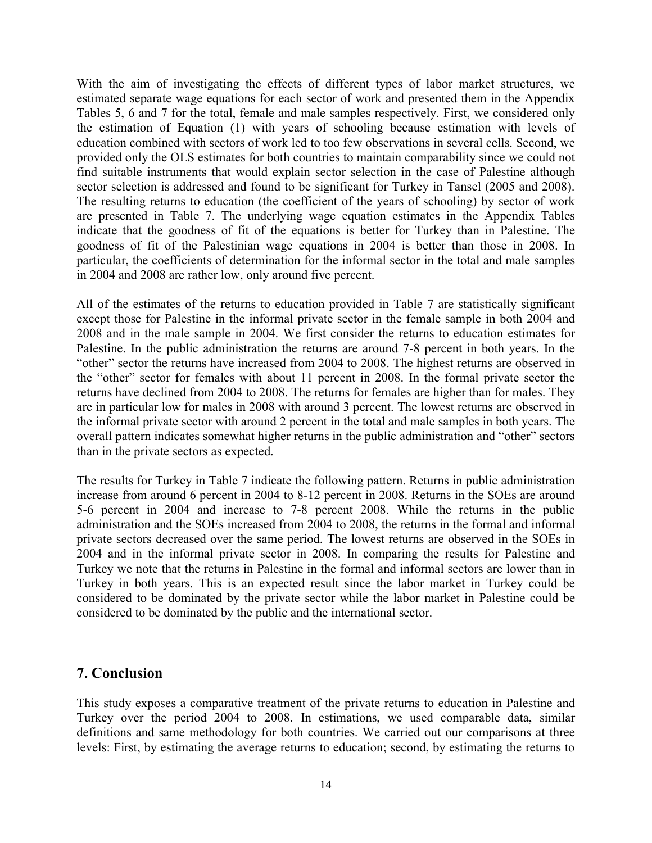With the aim of investigating the effects of different types of labor market structures, we estimated separate wage equations for each sector of work and presented them in the Appendix Tables 5, 6 and 7 for the total, female and male samples respectively. First, we considered only the estimation of Equation (1) with years of schooling because estimation with levels of education combined with sectors of work led to too few observations in several cells. Second, we provided only the OLS estimates for both countries to maintain comparability since we could not find suitable instruments that would explain sector selection in the case of Palestine although sector selection is addressed and found to be significant for Turkey in Tansel (2005 and 2008). The resulting returns to education (the coefficient of the years of schooling) by sector of work are presented in Table 7. The underlying wage equation estimates in the Appendix Tables indicate that the goodness of fit of the equations is better for Turkey than in Palestine. The goodness of fit of the Palestinian wage equations in 2004 is better than those in 2008. In particular, the coefficients of determination for the informal sector in the total and male samples in 2004 and 2008 are rather low, only around five percent.

All of the estimates of the returns to education provided in Table 7 are statistically significant except those for Palestine in the informal private sector in the female sample in both 2004 and 2008 and in the male sample in 2004. We first consider the returns to education estimates for Palestine. In the public administration the returns are around 7-8 percent in both years. In the "other" sector the returns have increased from 2004 to 2008. The highest returns are observed in the "other" sector for females with about 11 percent in 2008. In the formal private sector the returns have declined from 2004 to 2008. The returns for females are higher than for males. They are in particular low for males in 2008 with around 3 percent. The lowest returns are observed in the informal private sector with around 2 percent in the total and male samples in both years. The overall pattern indicates somewhat higher returns in the public administration and "other" sectors than in the private sectors as expected.

The results for Turkey in Table 7 indicate the following pattern. Returns in public administration increase from around 6 percent in 2004 to 8-12 percent in 2008. Returns in the SOEs are around 5-6 percent in 2004 and increase to 7-8 percent 2008. While the returns in the public administration and the SOEs increased from 2004 to 2008, the returns in the formal and informal private sectors decreased over the same period. The lowest returns are observed in the SOEs in 2004 and in the informal private sector in 2008. In comparing the results for Palestine and Turkey we note that the returns in Palestine in the formal and informal sectors are lower than in Turkey in both years. This is an expected result since the labor market in Turkey could be considered to be dominated by the private sector while the labor market in Palestine could be considered to be dominated by the public and the international sector.

## **7. Conclusion**

This study exposes a comparative treatment of the private returns to education in Palestine and Turkey over the period 2004 to 2008. In estimations, we used comparable data, similar definitions and same methodology for both countries. We carried out our comparisons at three levels: First, by estimating the average returns to education; second, by estimating the returns to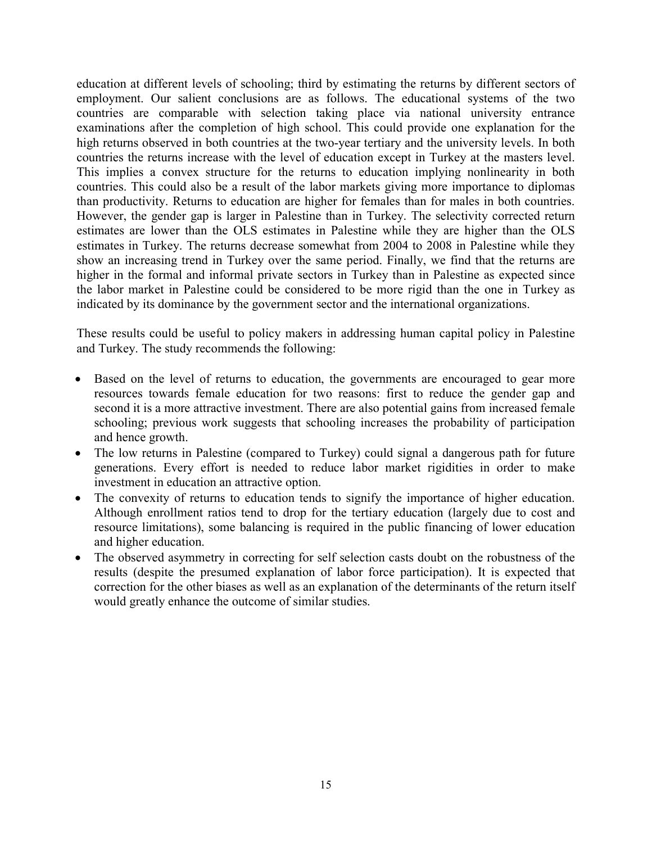education at different levels of schooling; third by estimating the returns by different sectors of employment. Our salient conclusions are as follows. The educational systems of the two countries are comparable with selection taking place via national university entrance examinations after the completion of high school. This could provide one explanation for the high returns observed in both countries at the two-year tertiary and the university levels. In both countries the returns increase with the level of education except in Turkey at the masters level. This implies a convex structure for the returns to education implying nonlinearity in both countries. This could also be a result of the labor markets giving more importance to diplomas than productivity. Returns to education are higher for females than for males in both countries. However, the gender gap is larger in Palestine than in Turkey. The selectivity corrected return estimates are lower than the OLS estimates in Palestine while they are higher than the OLS estimates in Turkey. The returns decrease somewhat from 2004 to 2008 in Palestine while they show an increasing trend in Turkey over the same period. Finally, we find that the returns are higher in the formal and informal private sectors in Turkey than in Palestine as expected since the labor market in Palestine could be considered to be more rigid than the one in Turkey as indicated by its dominance by the government sector and the international organizations.

These results could be useful to policy makers in addressing human capital policy in Palestine and Turkey. The study recommends the following:

- Based on the level of returns to education, the governments are encouraged to gear more resources towards female education for two reasons: first to reduce the gender gap and second it is a more attractive investment. There are also potential gains from increased female schooling; previous work suggests that schooling increases the probability of participation and hence growth.
- The low returns in Palestine (compared to Turkey) could signal a dangerous path for future generations. Every effort is needed to reduce labor market rigidities in order to make investment in education an attractive option.
- The convexity of returns to education tends to signify the importance of higher education. Although enrollment ratios tend to drop for the tertiary education (largely due to cost and resource limitations), some balancing is required in the public financing of lower education and higher education.
- The observed asymmetry in correcting for self selection casts doubt on the robustness of the results (despite the presumed explanation of labor force participation). It is expected that correction for the other biases as well as an explanation of the determinants of the return itself would greatly enhance the outcome of similar studies.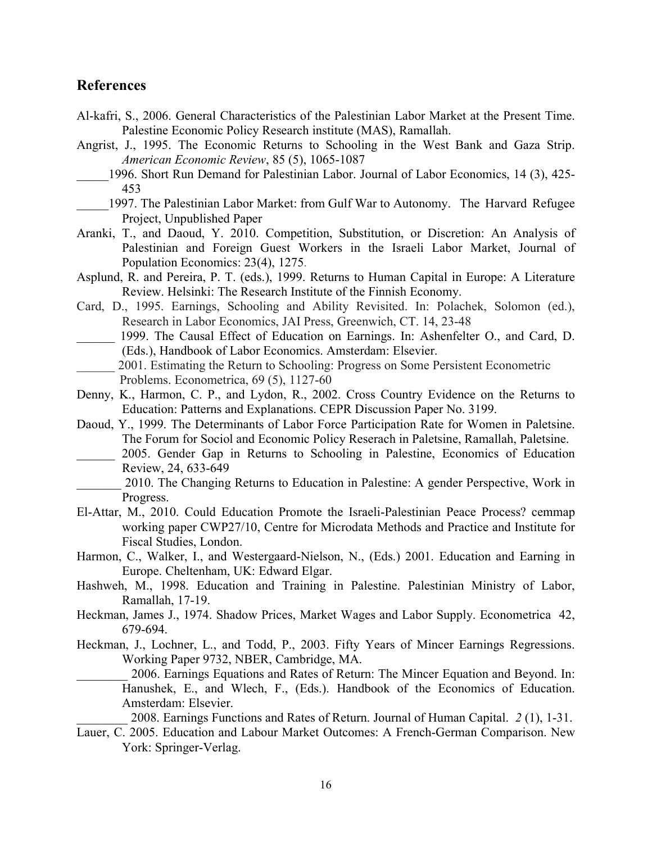#### **References**

- Al-kafri, S., 2006. General Characteristics of the Palestinian Labor Market at the Present Time. Palestine Economic Policy Research institute (MAS), Ramallah.
- Angrist, J., 1995. The Economic Returns to Schooling in the West Bank and Gaza Strip. *American Economic Review*, 85 (5), 1065-1087
- 1996. Short Run Demand for Palestinian Labor. Journal of Labor Economics, 14 (3), 425-453
	- 1997. The Palestinian Labor Market: from Gulf War to Autonomy. The Harvard Refugee Project, Unpublished Paper
- Aranki, T., and Daoud, Y. 2010. Competition, Substitution, or Discretion: An Analysis of Palestinian and Foreign Guest Workers in the Israeli Labor Market, Journal of Population Economics: 23(4), 1275.
- Asplund, R. and Pereira, P. T. (eds.), 1999. Returns to Human Capital in Europe: A Literature Review. Helsinki: The Research Institute of the Finnish Economy.
- Card, D., 1995. Earnings, Schooling and Ability Revisited. In: Polachek, Solomon (ed.), Research in Labor Economics, JAI Press, Greenwich, CT. 14, 23-48
	- 1999. The Causal Effect of Education on Earnings. In: Ashenfelter O., and Card, D. (Eds.), Handbook of Labor Economics. Amsterdam: Elsevier.
- \_\_\_\_\_\_ 2001. Estimating the Return to Schooling: Progress on Some Persistent Econometric Problems. Econometrica, 69 (5), 1127-60
- Denny, K., Harmon, C. P., and Lydon, R., 2002. Cross Country Evidence on the Returns to Education: Patterns and Explanations. CEPR Discussion Paper No. 3199.
- Daoud, Y., 1999. The Determinants of Labor Force Participation Rate for Women in Paletsine. The Forum for Sociol and Economic Policy Reserach in Paletsine, Ramallah, Paletsine.
- 2005. Gender Gap in Returns to Schooling in Palestine, Economics of Education Review, 24, 633-649
- \_\_\_\_\_\_\_ 2010. The Changing Returns to Education in Palestine: A gender Perspective, Work in Progress.
- El-Attar, M., 2010. Could Education Promote the Israeli-Palestinian Peace Process? cemmap working paper CWP27/10, Centre for Microdata Methods and Practice and Institute for Fiscal Studies, London.
- Harmon, C., Walker, I., and Westergaard-Nielson, N., (Eds.) 2001. Education and Earning in Europe. Cheltenham, UK: Edward Elgar.
- Hashweh, M., 1998. Education and Training in Palestine. Palestinian Ministry of Labor, Ramallah, 17-19.
- Heckman, James J., 1974. Shadow Prices, Market Wages and Labor Supply. Econometrica 42, 679-694.
- Heckman, J., Lochner, L., and Todd, P., 2003. Fifty Years of Mincer Earnings Regressions. Working Paper 9732, NBER, Cambridge, MA.
	- 2006. Earnings Equations and Rates of Return: The Mincer Equation and Beyond. In: Hanushek, E., and Wlech, F., (Eds.). Handbook of the Economics of Education. Amsterdam: Elsevier.

\_\_\_\_\_\_\_\_ 2008. Earnings Functions and Rates of Return. Journal of Human Capital. *2* (1), 1-31.

Lauer, C. 2005. Education and Labour Market Outcomes: A French-German Comparison. New York: Springer-Verlag.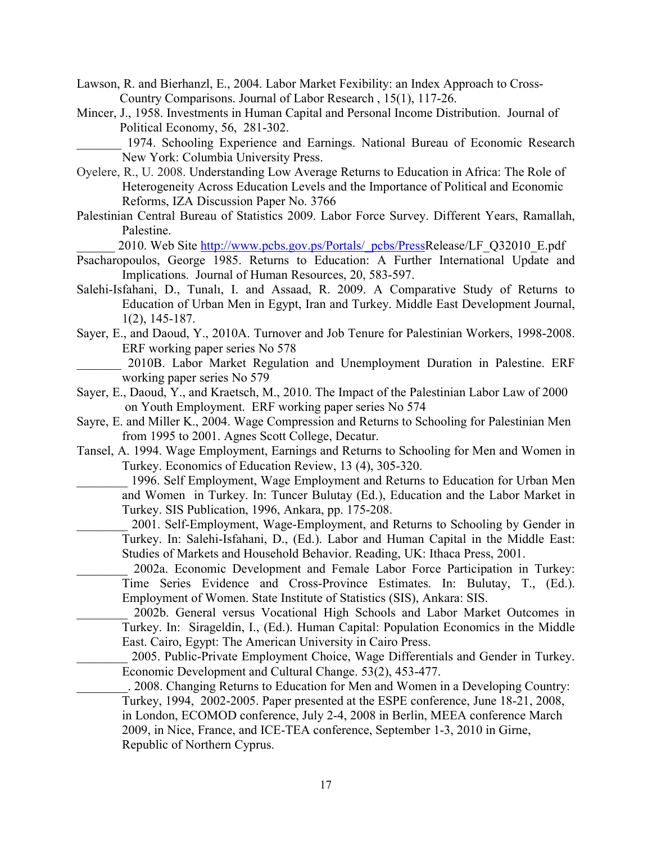- Lawson, R. and Bierhanzl, E., 2004. Labor Market Fexibility: an Index Approach to Cross-Country Comparisons. Journal of Labor Research , 15(1), 117-26.
- Mincer, J., 1958. Investments in Human Capital and Personal Income Distribution. Journal of Political Economy, 56, 281-302.

1974. Schooling Experience and Earnings. National Bureau of Economic Research New York: Columbia University Press.

- Oyelere, R., U. 2008. Understanding Low Average Returns to Education in Africa: The Role of Heterogeneity Across Education Levels and the Importance of Political and Economic Reforms, IZA Discussion Paper No. 3766
- Palestinian Central Bureau of Statistics 2009. Labor Force Survey. Different Years, Ramallah, Palestine.

2010. Web Site http://www.pcbs.gov.ps/Portals/\_pcbs/PressRelease/LF\_Q32010\_E.pdf

- Psacharopoulos, George 1985. Returns to Education: A Further International Update and Implications. Journal of Human Resources, 20, 583-597.
- Salehi-Isfahani, D., Tunalı, I. and Assaad, R. 2009. A Comparative Study of Returns to Education of Urban Men in Egypt, Iran and Turkey. Middle East Development Journal, 1(2), 145-187.
- Sayer, E., and Daoud, Y., 2010A. Turnover and Job Tenure for Palestinian Workers, 1998-2008. ERF working paper series No 578

\_\_\_\_\_\_\_ 2010B. Labor Market Regulation and Unemployment Duration in Palestine. ERF working paper series No 579

- Sayer, E., Daoud, Y., and Kraetsch, M., 2010. The Impact of the Palestinian Labor Law of 2000 on Youth Employment. ERF working paper series No 574
- Sayre, E. and Miller K., 2004. Wage Compression and Returns to Schooling for Palestinian Men from 1995 to 2001. Agnes Scott College, Decatur.
- Tansel, A. 1994. Wage Employment, Earnings and Returns to Schooling for Men and Women in Turkey. Economics of Education Review, 13 (4), 305-320.

1996. Self Employment, Wage Employment and Returns to Education for Urban Men and Women in Turkey. In: Tuncer Bulutay (Ed.), Education and the Labor Market in Turkey. SIS Publication, 1996, Ankara, pp. 175-208.

2001. Self-Employment, Wage-Employment, and Returns to Schooling by Gender in Turkey. In: Salehi-Isfahani, D., (Ed.). Labor and Human Capital in the Middle East: Studies of Markets and Household Behavior. Reading, UK: Ithaca Press, 2001.

\_\_\_\_\_\_\_\_ 2002a. Economic Development and Female Labor Force Participation in Turkey: Time Series Evidence and Cross-Province Estimates. In: Bulutay, T., (Ed.). Employment of Women. State Institute of Statistics (SIS), Ankara: SIS.

2002b. General versus Vocational High Schools and Labor Market Outcomes in Turkey. In: Sirageldin, I., (Ed.). Human Capital: Population Economics in the Middle East. Cairo, Egypt: The American University in Cairo Press.

2005. Public-Private Employment Choice, Wage Differentials and Gender in Turkey. Economic Development and Cultural Change. 53(2), 453-477.

2008. Changing Returns to Education for Men and Women in a Developing Country: Turkey, 1994, 2002-2005. Paper presented at the ESPE conference, June 18-21, 2008, in London, ECOMOD conference, July 2-4, 2008 in Berlin, MEEA conference March 2009, in Nice, France, and ICE-TEA conference, September 1-3, 2010 in Girne, Republic of Northern Cyprus.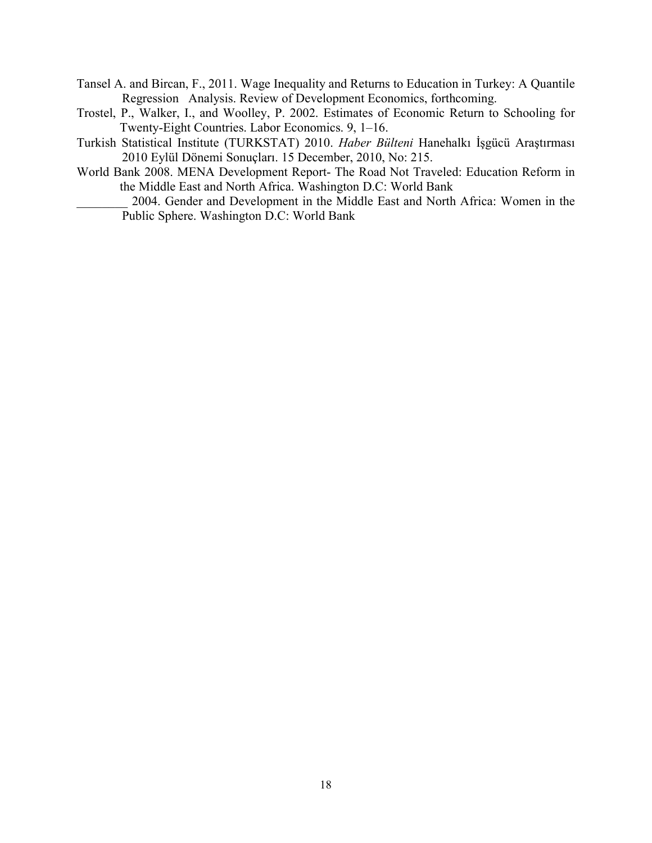- Tansel A. and Bircan, F., 2011. Wage Inequality and Returns to Education in Turkey: A Quantile Regression Analysis. Review of Development Economics, forthcoming.
- Trostel, P., Walker, I., and Woolley, P. 2002. Estimates of Economic Return to Schooling for Twenty-Eight Countries. Labor Economics. 9, 1–16.
- Turkish Statistical Institute (TURKSTAT) 2010. *Haber Bülteni* Hanehalkı İsgücü Araştırması 2010 Eylül Dönemi Sonuçları. 15 December, 2010, No: 215.
- World Bank 2008. MENA Development Report- The Road Not Traveled: Education Reform in the Middle East and North Africa. Washington D.C: World Bank

\_\_\_\_\_\_\_\_ 2004. Gender and Development in the Middle East and North Africa: Women in the Public Sphere. Washington D.C: World Bank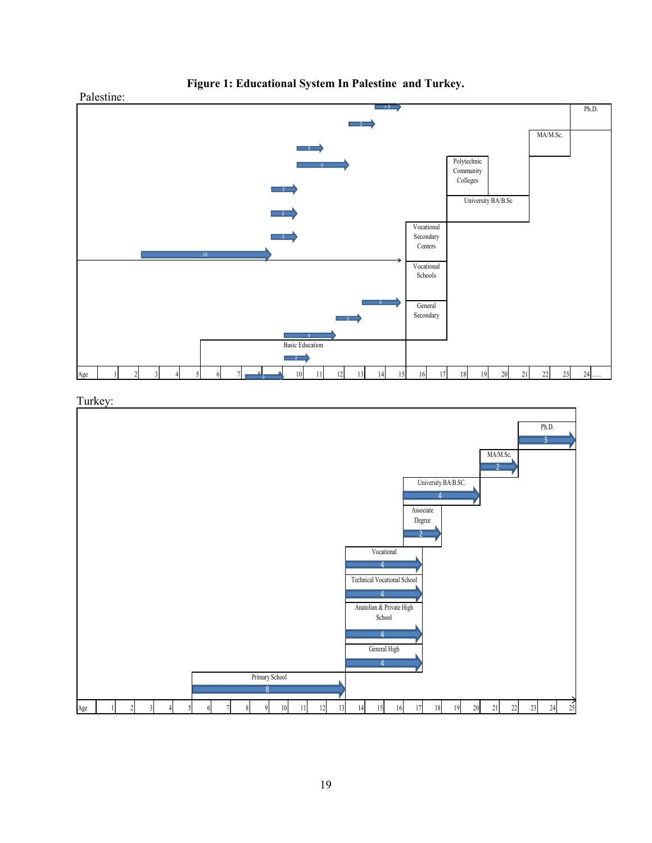

**Figure 1: Educational System In Palestine and Turkey.** 

Turkey:

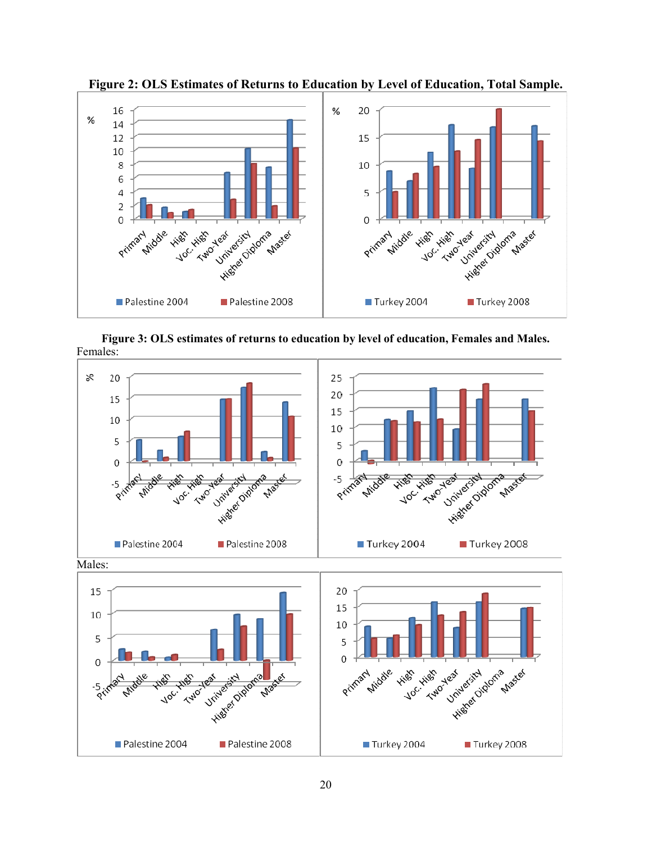

**Figure 2: OLS Estimates of Returns to Education by Level of Education, Total Sample.** 





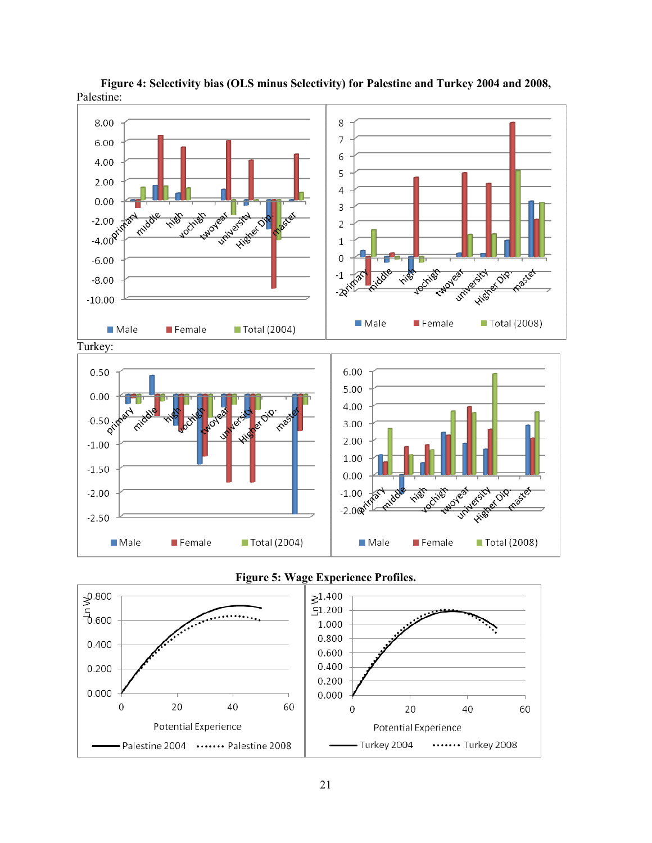

**Figure 4: Selectivity bias (OLS minus Selectivity) for Palestine and Turkey 2004 and 2008,**  Palestine:



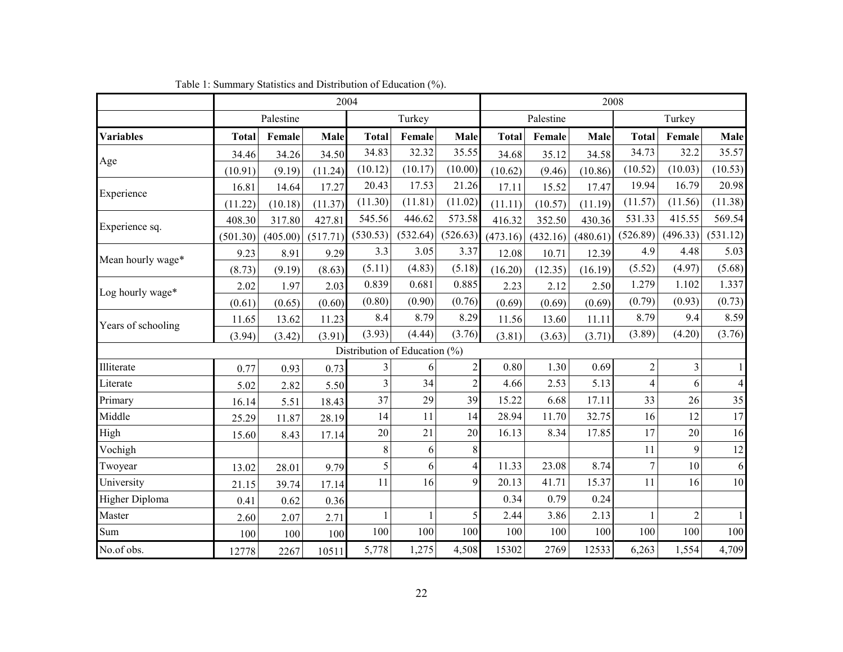|                    |              | 2004      |          |                               |          |                          | 2008         |           |          |                         |                |                |
|--------------------|--------------|-----------|----------|-------------------------------|----------|--------------------------|--------------|-----------|----------|-------------------------|----------------|----------------|
|                    |              | Palestine |          |                               | Turkey   |                          |              | Palestine |          |                         | Turkey         |                |
| <b>Variables</b>   | <b>Total</b> | Female    | Male     | <b>Total</b>                  | Female   | Male                     | <b>Total</b> | Female    | Male     | <b>Total</b>            | Female         | Male           |
| Age                | 34.46        | 34.26     | 34.50    | 34.83                         | 32.32    | 35.55                    | 34.68        | 35.12     | 34.58    | 34.73                   | 32.2           | 35.57          |
|                    | (10.91)      | (9.19)    | (11.24)  | (10.12)                       | (10.17)  | (10.00)                  | (10.62)      | (9.46)    | (10.86)  | (10.52)                 | (10.03)        | (10.53)        |
| Experience         | 16.81        | 14.64     | 17.27    | 20.43                         | 17.53    | 21.26                    | 17.11        | 15.52     | 17.47    | 19.94                   | 16.79          | 20.98          |
|                    | (11.22)      | (10.18)   | (11.37)  | (11.30)                       | (11.81)  | (11.02)                  | (11.11)      | (10.57)   | (11.19)  | (11.57)                 | (11.56)        | (11.38)        |
| Experience sq.     | 408.30       | 317.80    | 427.81   | 545.56                        | 446.62   | 573.58                   | 416.32       | 352.50    | 430.36   | 531.33                  | 415.55         | 569.54         |
|                    | (501.30)     | (405.00)  | (517.71) | (530.53)                      | (532.64) | (526.63)                 | (473.16)     | (432.16)  | (480.61) | (526.89)                | (496.33)       | (531.12)       |
| Mean hourly wage*  | 9.23         | 8.91      | 9.29     | 3.3                           | 3.05     | 3.37                     | 12.08        | 10.71     | 12.39    | 4.9                     | 4.48           | 5.03           |
|                    | (8.73)       | (9.19)    | (8.63)   | (5.11)                        | (4.83)   | (5.18)                   | (16.20)      | (12.35)   | (16.19)  | (5.52)                  | (4.97)         | (5.68)         |
| Log hourly wage*   | 2.02         | 1.97      | 2.03     | 0.839                         | 0.681    | 0.885                    | 2.23         | 2.12      | 2.50     | 1.279                   | 1.102          | 1.337          |
|                    | (0.61)       | (0.65)    | (0.60)   | (0.80)                        | (0.90)   | (0.76)                   | (0.69)       | (0.69)    | (0.69)   | (0.79)                  | (0.93)         | (0.73)         |
| Years of schooling | 11.65        | 13.62     | 11.23    | 8.4                           | 8.79     | 8.29                     | 11.56        | 13.60     | 11.11    | 8.79                    | 9.4            | 8.59           |
|                    | (3.94)       | (3.42)    | (3.91)   | (3.93)                        | (4.44)   | (3.76)                   | (3.81)       | (3.63)    | (3.71)   | (3.89)                  | (4.20)         | (3.76)         |
|                    |              |           |          | Distribution of Education (%) |          |                          |              |           |          |                         |                |                |
| Illiterate         | 0.77         | 0.93      | 0.73     | $\mathfrak{Z}$                | 6        | $\overline{c}$           | 0.80         | 1.30      | 0.69     | $\sqrt{2}$              | 3              | $\,1$          |
| Literate           | 5.02         | 2.82      | 5.50     | $\overline{3}$                | 34       | $\overline{c}$           | 4.66         | 2.53      | 5.13     | $\overline{\mathbf{4}}$ | 6              | $\overline{4}$ |
| Primary            | 16.14        | 5.51      | 18.43    | 37                            | 29       | 39                       | 15.22        | 6.68      | 17.11    | 33                      | 26             | 35             |
| Middle             | 25.29        | 11.87     | 28.19    | 14                            | 11       | 14                       | 28.94        | 11.70     | 32.75    | 16                      | 12             | 17             |
| High               | 15.60        | 8.43      | 17.14    | 20                            | 21       | 20                       | 16.13        | 8.34      | 17.85    | 17                      | 20             | 16             |
| Vochigh            |              |           |          | 8                             | 6        | 8                        |              |           |          | 11                      | 9              | 12             |
| Twoyear            | 13.02        | 28.01     | 9.79     | 5                             | 6        | $\overline{\mathcal{A}}$ | 11.33        | 23.08     | 8.74     | $\overline{7}$          | 10             | 6              |
| University         | 21.15        | 39.74     | 17.14    | 11                            | 16       | 9                        | 20.13        | 41.71     | 15.37    | 11                      | 16             | $10\,$         |
| Higher Diploma     | 0.41         | 0.62      | 0.36     |                               |          |                          | 0.34         | 0.79      | 0.24     |                         |                |                |
| Master             | 2.60         | 2.07      | 2.71     | 1                             | 1        | 5                        | 2.44         | 3.86      | 2.13     |                         | $\overline{2}$ | $\mathbf{1}$   |
| Sum                | 100          | 100       | 100      | 100                           | 100      | 100                      | 100          | 100       | 100      | 100                     | 100            | 100            |
| No.of obs.         | 12778        | 2267      | 10511    | 5,778                         | 1,275    | 4,508                    | 15302        | 2769      | 12533    | 6,263                   | 1,554          | 4,709          |

Table 1: Summary Statistics and Distribution of Education (%).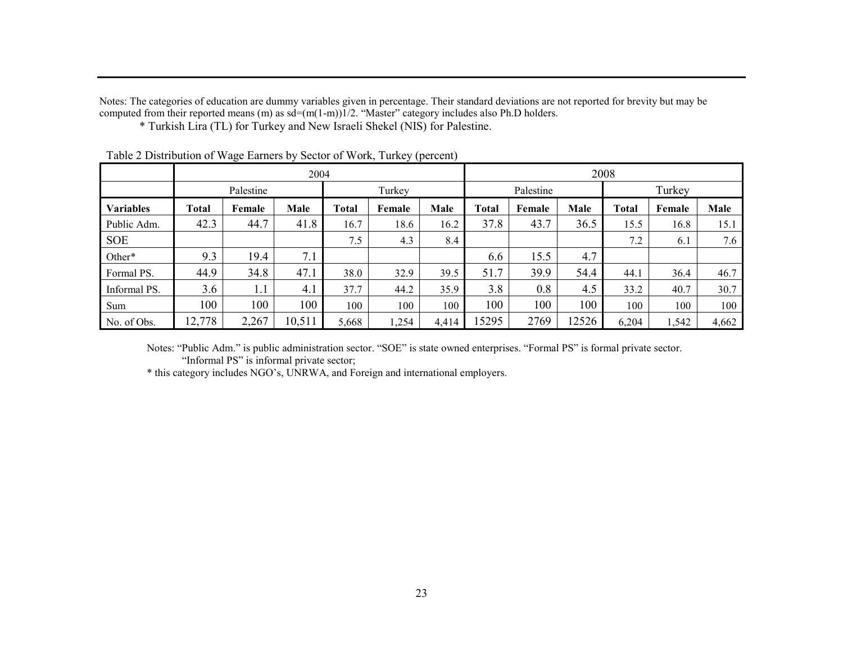Notes: The categories of education are dummy variables given in percentage. Their standard deviations are not reported for brevity but may be computed from their reported means (m) as  $sd = (m(1-m))1/2$ . "Master" category includes also Ph.D holders.

\* Turkish Lira (TL) for Turkey and New Israeli Shekel (NIS) for Palestine.

|                  |        | 2004      |        |       |        |       |       |           |       | 2008         |        |       |  |
|------------------|--------|-----------|--------|-------|--------|-------|-------|-----------|-------|--------------|--------|-------|--|
|                  |        | Palestine |        |       | Turkey |       |       | Palestine |       |              | Turkey |       |  |
| <b>Variables</b> | Total  | Female    | Male   | Total | Female | Male  | Total | Female    | Male  | <b>Total</b> | Female | Male  |  |
| Public Adm.      | 42.3   | 44.7      | 41.8   | 16.7  | 18.6   | 16.2  | 37.8  | 43.7      | 36.5  | 15.5         | 16.8   | 15.1  |  |
| <b>SOE</b>       |        |           |        | 7.5   | 4.3    | 8.4   |       |           |       | 7.2          | 6.1    | 7.6   |  |
| Other*           | 9.3    | 19.4      | 7.1    |       |        |       | 6.6   | 15.5      | 4.7   |              |        |       |  |
| Formal PS.       | 44.9   | 34.8      | 47.1   | 38.0  | 32.9   | 39.5  | 51.7  | 39.9      | 54.4  | 44.1         | 36.4   | 46.7  |  |
| Informal PS.     | 3.6    | 1.1       | 4.1    | 37.7  | 44.2   | 35.9  | 3.8   | 0.8       | 4.5   | 33.2         | 40.7   | 30.7  |  |
| Sum              | 100    | 100       | 100    | 100   | 100    | 100   | 100   | 100       | 100   | 100          | 100    | 100   |  |
| No. of Obs.      | 12,778 | 2,267     | 10,511 | 5,668 | 1,254  | 4,414 | 15295 | 2769      | 12526 | 6,204        | 1,542  | 4,662 |  |

Table 2 Distribution of Wage Earners by Sector of Work, Turkey (percent)

Notes: "Public Adm." is public administration sector. "SOE" is state owned enterprises. "Formal PS" is formal private sector. "Informal PS" is informal private sector;

\* this category includes NGO's, UNRWA, and Foreign and international employers.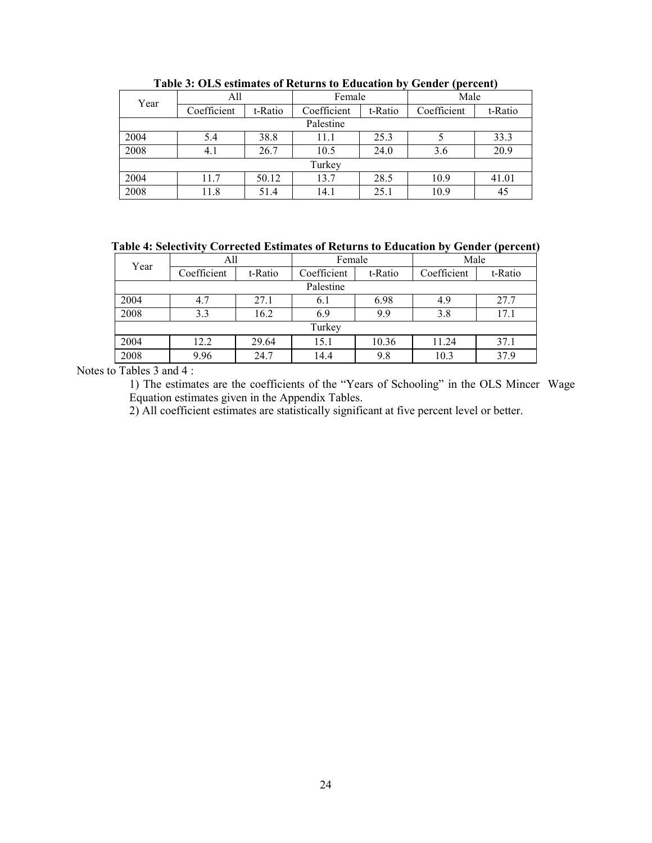| Year | All         |         | Female                 |      | Male        |         |
|------|-------------|---------|------------------------|------|-------------|---------|
|      | Coefficient | t-Ratio | Coefficient<br>t-Ratio |      | Coefficient | t-Ratio |
|      |             |         | Palestine              |      |             |         |
| 2004 | 5.4         | 38.8    | 11.1                   | 25.3 |             | 33.3    |
| 2008 | 4.1         | 26.7    | 10.5                   | 24.0 | 3.6         | 20.9    |
|      |             |         | Turkey                 |      |             |         |
| 2004 | 11.7        | 50.12   | 13.7                   | 28.5 | 10.9        | 41.01   |
| 2008 | 11.8        | 51.4    | 14.1                   | 25.1 | 10.9        | 45      |

**Table 3: OLS estimates of Returns to Education by Gender (percent)** 

**Table 4: Selectivity Corrected Estimates of Returns to Education by Gender (percent)** 

| Year | All         |         | Female      |         | Male        |         |  |
|------|-------------|---------|-------------|---------|-------------|---------|--|
|      | Coefficient | t-Ratio | Coefficient | t-Ratio | Coefficient | t-Ratio |  |
|      |             |         | Palestine   |         |             |         |  |
| 2004 | 4.7         | 27.1    | 6.1         | 6.98    | 4.9         | 27.7    |  |
| 2008 | 3.3         | 16.2    | 6.9         | 9.9     | 3.8         | 17.1    |  |
|      |             |         | Turkey      |         |             |         |  |
| 2004 | 12.2        | 29.64   | 15.1        | 10.36   | 11.24       | 37.1    |  |
| 2008 | 9.96        | 24.7    | 14.4        | 9.8     | 10.3        | 37.9    |  |

Notes to Tables 3 and 4 :

 1) The estimates are the coefficients of the "Years of Schooling" in the OLS Mincer Wage Equation estimates given in the Appendix Tables.

2) All coefficient estimates are statistically significant at five percent level or better.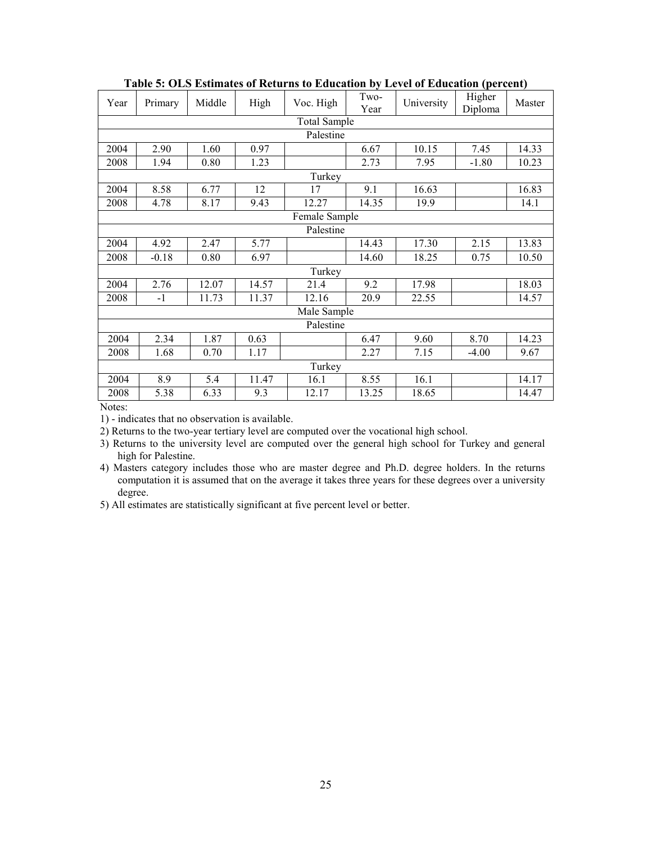| Year | Primary | Middle | High  | Voc. High           | Two-  | University | Higher  | Master |
|------|---------|--------|-------|---------------------|-------|------------|---------|--------|
|      |         |        |       |                     | Year  |            | Diploma |        |
|      |         |        |       | <b>Total Sample</b> |       |            |         |        |
|      |         |        |       | Palestine           |       |            |         |        |
| 2004 | 2.90    | 1.60   | 0.97  |                     | 6.67  | 10.15      | 7.45    | 14.33  |
| 2008 | 1.94    | 0.80   | 1.23  |                     | 2.73  | 7.95       | $-1.80$ | 10.23  |
|      |         |        |       | Turkey              |       |            |         |        |
| 2004 | 8.58    | 6.77   | 12    | 17                  | 9.1   | 16.63      |         | 16.83  |
| 2008 | 4.78    | 8.17   | 9.43  | 12.27               | 14.35 | 19.9       |         | 14.1   |
|      |         |        |       | Female Sample       |       |            |         |        |
|      |         |        |       | Palestine           |       |            |         |        |
| 2004 | 4.92    | 2.47   | 5.77  |                     | 14.43 | 17.30      | 2.15    | 13.83  |
| 2008 | $-0.18$ | 0.80   | 6.97  |                     | 14.60 | 18.25      | 0.75    | 10.50  |
|      |         |        |       | Turkey              |       |            |         |        |
| 2004 | 2.76    | 12.07  | 14.57 | 21.4                | 9.2   | 17.98      |         | 18.03  |
| 2008 | $-1$    | 11.73  | 11.37 | 12.16               | 20.9  | 22.55      |         | 14.57  |
|      |         |        |       | Male Sample         |       |            |         |        |
|      |         |        |       | Palestine           |       |            |         |        |
| 2004 | 2.34    | 1.87   | 0.63  |                     | 6.47  | 9.60       | 8.70    | 14.23  |
| 2008 | 1.68    | 0.70   | 1.17  |                     | 2.27  | 7.15       | $-4.00$ | 9.67   |
|      |         |        |       | Turkey              |       |            |         |        |
| 2004 | 8.9     | 5.4    | 11.47 | 16.1                | 8.55  | 16.1       |         | 14.17  |
| 2008 | 5.38    | 6.33   | 9.3   | 12.17               | 13.25 | 18.65      |         | 14.47  |

**Table 5: OLS Estimates of Returns to Education by Level of Education (percent)** 

Notes:

1) - indicates that no observation is available.

2) Returns to the two-year tertiary level are computed over the vocational high school.

3) Returns to the university level are computed over the general high school for Turkey and general high for Palestine.

4) Masters category includes those who are master degree and Ph.D. degree holders. In the returns computation it is assumed that on the average it takes three years for these degrees over a university degree.

5) All estimates are statistically significant at five percent level or better.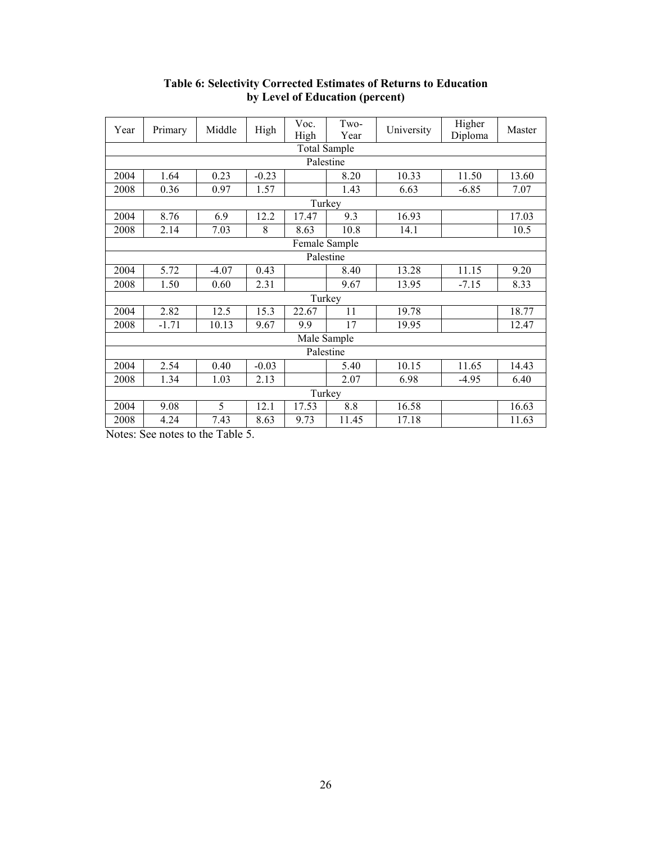| Year | Primary | Middle  | High    | Voc.  | Two-                | University | Higher  | Master |
|------|---------|---------|---------|-------|---------------------|------------|---------|--------|
|      |         |         |         | High  | Year                |            | Diploma |        |
|      |         |         |         |       | <b>Total Sample</b> |            |         |        |
|      |         |         |         |       | Palestine           |            |         |        |
| 2004 | 1.64    | 0.23    | $-0.23$ |       | 8.20                | 10.33      | 11.50   | 13.60  |
| 2008 | 0.36    | 0.97    | 1.57    |       | 1.43                | 6.63       | $-6.85$ | 7.07   |
|      |         |         |         |       | Turkey              |            |         |        |
| 2004 | 8.76    | 6.9     | 12.2    | 17.47 | 9.3                 | 16.93      |         | 17.03  |
| 2008 | 2.14    | 7.03    | 8       | 8.63  | 10.8                | 14.1       |         | 10.5   |
|      |         |         |         |       | Female Sample       |            |         |        |
|      |         |         |         |       | Palestine           |            |         |        |
| 2004 | 5.72    | $-4.07$ | 0.43    |       | 8.40                | 13.28      | 11.15   | 9.20   |
| 2008 | 1.50    | 0.60    | 2.31    |       | 9.67                | 13.95      | $-7.15$ | 8.33   |
|      |         |         |         |       | Turkey              |            |         |        |
| 2004 | 2.82    | 12.5    | 15.3    | 22.67 | 11                  | 19.78      |         | 18.77  |
| 2008 | $-1.71$ | 10.13   | 9.67    | 9.9   | 17                  | 19.95      |         | 12.47  |
|      |         |         |         |       | Male Sample         |            |         |        |
|      |         |         |         |       | Palestine           |            |         |        |
| 2004 | 2.54    | 0.40    | $-0.03$ |       | 5.40                | 10.15      | 11.65   | 14.43  |
| 2008 | 1.34    | 1.03    | 2.13    |       | 2.07                | 6.98       | $-4.95$ | 6.40   |
|      |         |         |         |       | Turkey              |            |         |        |
| 2004 | 9.08    | 5       | 12.1    | 17.53 | 8.8                 | 16.58      |         | 16.63  |
| 2008 | 4.24    | 7.43    | 8.63    | 9.73  | 11.45               | 17.18      |         | 11.63  |

#### **Table 6: Selectivity Corrected Estimates of Returns to Education by Level of Education (percent)**

Notes: See notes to the Table 5.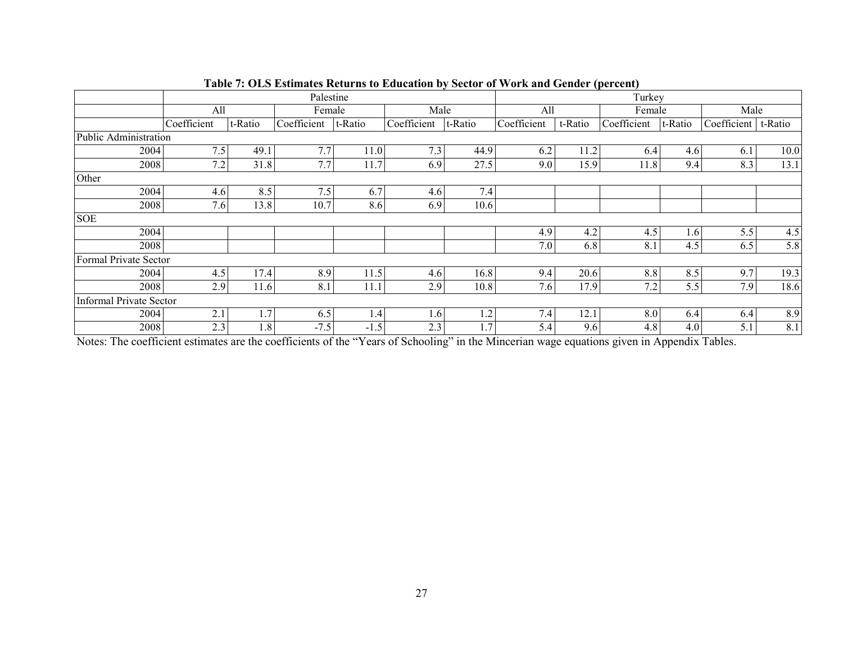|                              |             | Palestine        |                     |        |             |         |             |         | Turkey      |         |             |         |
|------------------------------|-------------|------------------|---------------------|--------|-------------|---------|-------------|---------|-------------|---------|-------------|---------|
|                              | All         |                  | Female              |        | Male        |         | All         |         | Female      |         | Male        |         |
|                              | Coefficient | t-Ratio          | Coefficient t-Ratio |        | Coefficient | t-Ratio | Coefficient | t-Ratio | Coefficient | t-Ratio | Coefficient | t-Ratio |
| <b>Public Administration</b> |             |                  |                     |        |             |         |             |         |             |         |             |         |
| 2004                         | 7.5         | 49.1             | 7.7                 | 11.0   | 7.3         | 44.9    | 6.2         | 11.2    | 6.4         | 4.6     | 6.1         | 10.0    |
| 2008                         | 7.2         | 31.8             | 7.7                 | 11.7   | 6.9         | 27.5    | 9.0         | 15.9    | 11.8        | 9.4     | 8.3         | 13.1    |
| Other                        |             |                  |                     |        |             |         |             |         |             |         |             |         |
| 2004                         | 4.6         | 8.5              | 7.5                 | 6.7    | 4.6         | 7.4     |             |         |             |         |             |         |
| 2008                         | 7.6         | 13.8             | 10.7                | 8.6    | 6.9         | 10.6    |             |         |             |         |             |         |
| <b>SOE</b>                   |             |                  |                     |        |             |         |             |         |             |         |             |         |
| 2004                         |             |                  |                     |        |             |         | 4.9         | 4.2     | 4.5         | 1.6     | 5.5         | 4.5     |
| 2008                         |             |                  |                     |        |             |         | 7.0         | 6.8     | 8.1         | 4.5     | 6.5         | 5.8     |
| Formal Private Sector        |             |                  |                     |        |             |         |             |         |             |         |             |         |
| 2004                         | 4.5         | 17.4             | 8.9                 | 11.5   | 4.6         | 16.8    | 9.4         | 20.6    | 8.8         | 8.5     | 9.7         | 19.3    |
| 2008                         | 2.9         | 11.6             | 8.1                 | 11.1   | 2.9         | 10.8    | 7.6         | 17.9    | 7.2         | 5.5     | 7.9         | 18.6    |
| Informal Private Sector      |             |                  |                     |        |             |         |             |         |             |         |             |         |
| 2004                         | 2.1         | . . 7            | 6.5                 | 1.4    | .6          | 1.2     | 7.4         | 12.1    | 8.0         | 6.4     | 6.4         | 8.9     |
| 2008                         | 2.3         | $\overline{8}$ . | $-7.5$              | $-1.5$ | 2.3         | $1.7$   | 5.4         | 9.6     | 4.8         | 4.0     | 5.1         | 8.1     |

#### **Table 7: OLS Estimates Returns to Education by Sector of Work and Gender (percent)**

Notes: The coefficient estimates are the coefficients of the "Years of Schooling" in the Mincerian wage equations given in Appendix Tables.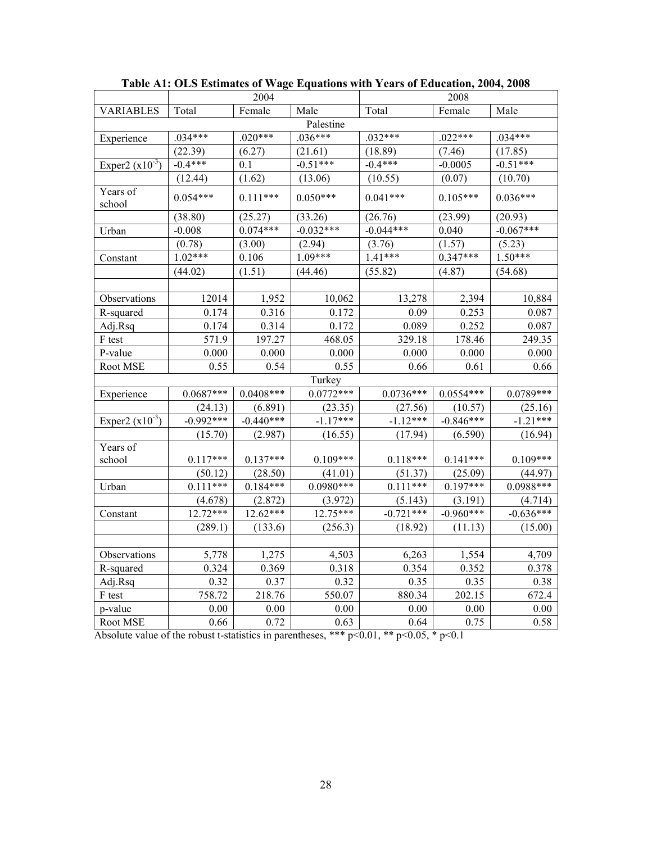|                     |             | 2004        |             |             | 2008        |             |
|---------------------|-------------|-------------|-------------|-------------|-------------|-------------|
| <b>VARIABLES</b>    | Total       | Female      | Male        | Total       | Female      | Male        |
|                     |             |             | Palestine   |             |             |             |
| Experience          | $.034***$   | $.020***$   | $.036***$   | $.032***$   | $.022***$   | $.034***$   |
|                     | (22.39)     | (6.27)      | (21.61)     | (18.89)     | (7.46)      | (17.85)     |
| Exper2 $(x10^{-3})$ | $-0.4***$   | 0.1         | $-0.51***$  | $-0.4***$   | $-0.0005$   | $-0.51***$  |
|                     | (12.44)     | (1.62)      | (13.06)     | (10.55)     | (0.07)      | (10.70)     |
| Years of<br>school  | $0.054***$  | $0.111***$  | $0.050***$  | $0.041***$  | $0.105***$  | $0.036***$  |
|                     | (38.80)     | (25.27)     | (33.26)     | (26.76)     | (23.99)     | (20.93)     |
| Urban               | $-0.008$    | $0.074***$  | $-0.032***$ | $-0.044***$ | 0.040       | $-0.067***$ |
|                     | (0.78)      | (3.00)      | (2.94)      | (3.76)      | (1.57)      | (5.23)      |
| Constant            | $1.02***$   | 0.106       | $1.09***$   | $1.41***$   | $0.347***$  | $1.50***$   |
|                     | (44.02)     | (1.51)      | (44.46)     | (55.82)     | (4.87)      | (54.68)     |
|                     |             |             |             |             |             |             |
| Observations        | 12014       | 1,952       | 10,062      | 13,278      | 2,394       | 10,884      |
| R-squared           | 0.174       | 0.316       | 0.172       | 0.09        | 0.253       | 0.087       |
| Adj.Rsq             | 0.174       | 0.314       | 0.172       | 0.089       | 0.252       | 0.087       |
| F test              | 571.9       | 197.27      | 468.05      | 329.18      | 178.46      | 249.35      |
| P-value             | 0.000       | 0.000       | 0.000       | 0.000       | 0.000       | 0.000       |
| Root MSE            | 0.55        | 0.54        | 0.55        | 0.66        | 0.61        | 0.66        |
|                     |             |             | Turkey      |             |             |             |
| Experience          | $0.0687***$ | $0.0408***$ | $0.0772***$ | $0.0736***$ | $0.0554***$ | $0.0789***$ |
|                     | (24.13)     | (6.891)     | (23.35)     | (27.56)     | (10.57)     | (25.16)     |
| Exper2 $(x10^{-3})$ | $-0.992***$ | $-0.440***$ | $-1.17***$  | $-1.12***$  | $-0.846***$ | $-1.21***$  |
|                     | (15.70)     | (2.987)     | (16.55)     | (17.94)     | (6.590)     | (16.94)     |
| Years of<br>school  | $0.117***$  | $0.137***$  | $0.109***$  | $0.118***$  | $0.141***$  | $0.109***$  |
|                     | (50.12)     | (28.50)     | (41.01)     | (51.37)     | (25.09)     | (44.97)     |
| Urban               | $0.111***$  | $0.184***$  | $0.0980***$ | $0.111***$  | $0.197***$  | $0.0988***$ |
|                     | (4.678)     | (2.872)     | (3.972)     | (5.143)     | (3.191)     | (4.714)     |
| Constant            | $12.72***$  | $12.62***$  | $12.75***$  | $-0.721***$ | $-0.960***$ | $-0.636***$ |
|                     | (289.1)     | (133.6)     | (256.3)     | (18.92)     | (11.13)     | (15.00)     |
|                     |             |             |             |             |             |             |
| Observations        | 5,778       | 1,275       | 4,503       | 6,263       | 1,554       | 4,709       |
| R-squared           | 0.324       | 0.369       | 0.318       | 0.354       | 0.352       | 0.378       |
| Adj.Rsq             | 0.32        | 0.37        | 0.32        | 0.35        | 0.35        | 0.38        |
| F test              | 758.72      | 218.76      | 550.07      | 880.34      | 202.15      | 672.4       |
| p-value             | 0.00        | $0.00\,$    | 0.00        | 0.00        | 0.00        | 0.00        |
| Root MSE            | 0.66        | 0.72        | 0.63        | 0.64        | 0.75        | 0.58        |

**Table A1: OLS Estimates of Wage Equations with Years of Education, 2004, 2008**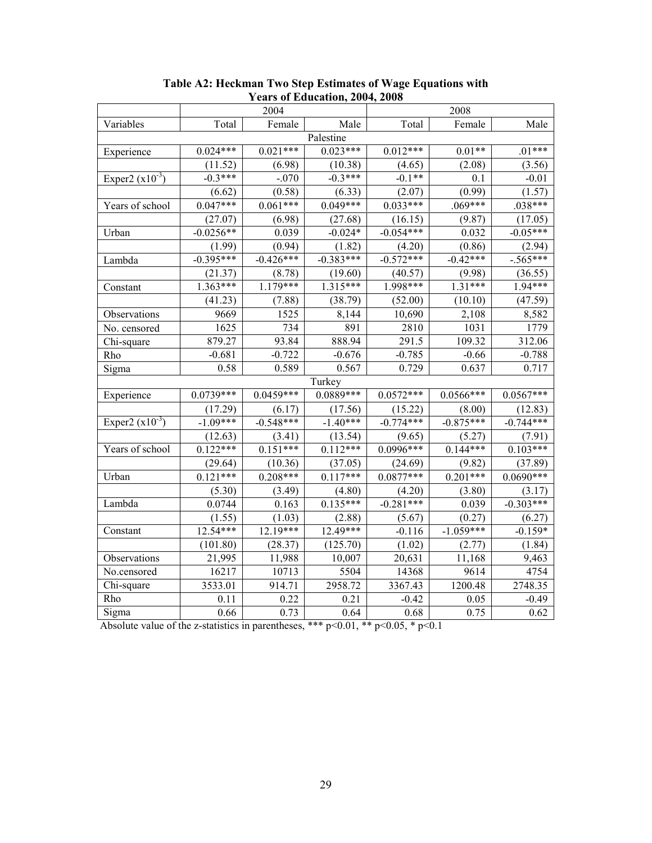|                     |             | 2004                  |             |             | 2008        |             |
|---------------------|-------------|-----------------------|-------------|-------------|-------------|-------------|
| Variables           | Total       | Female                | Male        | Total       | Female      | Male        |
|                     |             |                       | Palestine   |             |             |             |
| Experience          | $0.024***$  | $0.021***$            | $0.023***$  | $0.012***$  | $0.01**$    | $.01***$    |
|                     | (11.52)     | (6.98)                | (10.38)     | (4.65)      | (2.08)      | (3.56)      |
| Exper2 $(x10^{-3})$ | $-0.3***$   | $-.070$               | $-0.3***$   | $-0.1**$    | 0.1         | $-0.01$     |
|                     | (6.62)      | (0.58)                | (6.33)      | (2.07)      | (0.99)      | (1.57)      |
| Years of school     | $0.047***$  | $0.061***$            | $0.049***$  | $0.033***$  | $.069***$   | $.038***$   |
|                     | (27.07)     | (6.98)                | (27.68)     | (16.15)     | (9.87)      | (17.05)     |
| Urban               | $-0.0256**$ | 0.039                 | $-0.024*$   | $-0.054***$ | 0.032       | $-0.05***$  |
|                     | (1.99)      | (0.94)                | (1.82)      | (4.20)      | (0.86)      | (2.94)      |
| Lambda              | $-0.395***$ | $-0.426***$           | $-0.383***$ | $-0.572***$ | $-0.42***$  | $-0.565***$ |
|                     | (21.37)     | (8.78)                | (19.60)     | (40.57)     | (9.98)      | (36.55)     |
| Constant            | $1.363***$  | $1.179***$            | $1.315***$  | 1.998***    | $1.31***$   | $1.94***$   |
|                     | (41.23)     | (7.88)                | (38.79)     | (52.00)     | (10.10)     | (47.59)     |
| Observations        | 9669        | 1525                  | 8,144       | 10,690      | 2,108       | 8,582       |
| No. censored        | 1625        | 734                   | 891         | 2810        | 1031        | 1779        |
| Chi-square          | 879.27      | 93.84                 | 888.94      | 291.5       | 109.32      | 312.06      |
| Rho                 | $-0.681$    | $-0.722$              | $-0.676$    | $-0.785$    | $-0.66$     | $-0.788$    |
| Sigma               | 0.58        | 0.589                 | 0.567       | 0.729       | 0.637       | 0.717       |
|                     |             |                       | Turkey      |             |             |             |
| Experience          | $0.0739***$ | $0.0459***$           | $0.0889***$ | $0.0572***$ | $0.0566***$ | $0.0567***$ |
|                     | (17.29)     | (6.17)                | (17.56)     | (15.22)     | (8.00)      | (12.83)     |
| Exper2 $(x10^{-3})$ | $-1.09***$  | $-0.548***$           | $-1.40***$  | $-0.774***$ | $-0.875***$ | $-0.744***$ |
|                     | (12.63)     | (3.41)                | (13.54)     | (9.65)      | (5.27)      | (7.91)      |
| Years of school     | $0.122***$  | $0.15$ <sup>***</sup> | $0.112***$  | $0.0996***$ | $0.144***$  | $0.103***$  |
|                     | (29.64)     | (10.36)               | (37.05)     | (24.69)     | (9.82)      | (37.89)     |
| Urban               | $0.121***$  | $0.208***$            | $0.117***$  | $0.0877***$ | $0.201***$  | $0.0690***$ |
|                     | (5.30)      | (3.49)                | (4.80)      | (4.20)      | (3.80)      | (3.17)      |
| Lambda              | 0.0744      | 0.163                 | $0.135***$  | $-0.281***$ | 0.039       | $-0.303***$ |
|                     | (1.55)      | (1.03)                | (2.88)      | (5.67)      | (0.27)      | (6.27)      |
| Constant            | $12.54***$  | $12.19***$            | $12.49***$  | $-0.116$    | $-1.059***$ | $-0.159*$   |
|                     | (101.80)    | (28.37)               | (125.70)    | (1.02)      | (2.77)      | (1.84)      |
| Observations        | 21,995      | 11,988                | 10,007      | 20,631      | 11,168      | 9,463       |
| No.censored         | 16217       | 10713                 | 5504        | 14368       | 9614        | 4754        |
| Chi-square          | 3533.01     | 914.71                | 2958.72     | 3367.43     | 1200.48     | 2748.35     |
| Rho                 | 0.11        | 0.22                  | 0.21        | $-0.42$     | 0.05        | $-0.49$     |
| Sigma               | 0.66        | 0.73                  | 0.64        | 0.68        | 0.75        | 0.62        |

**Table A2: Heckman Two Step Estimates of Wage Equations with Years of Education, 2004, 2008**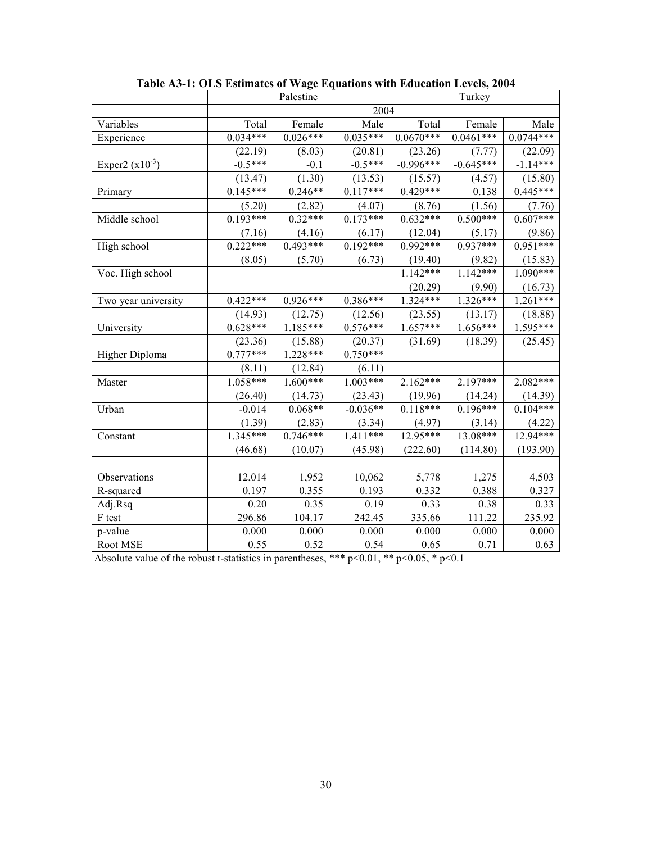|                     | Palestine<br>Turkey |            |            |             |             |                       |
|---------------------|---------------------|------------|------------|-------------|-------------|-----------------------|
|                     |                     |            | 2004       |             |             |                       |
| Variables           | Total               | Female     | Male       | Total       | Female      | Male                  |
| Experience          | $0.034***$          | $0.026***$ | $0.035***$ | $0.0670***$ | $0.0461***$ | $0.0744***$           |
|                     | (22.19)             | (8.03)     | (20.81)    | (23.26)     | (7.77)      | (22.09)               |
| Exper2 $(x10^{-3})$ | $-0.5***$           | $-0.1$     | $-0.5***$  | $-0.996***$ | $-0.645***$ | $-1.14***$            |
|                     | (13.47)             | (1.30)     | (13.53)    | (15.57)     | (4.57)      | (15.80)               |
| Primary             | $0.145***$          | $0.246**$  | $0.117***$ | $0.429***$  | 0.138       | $0.445***$            |
|                     | (5.20)              | (2.82)     | (4.07)     | (8.76)      | (1.56)      | (7.76)                |
| Middle school       | $0.193***$          | $0.32***$  | $0.173***$ | $0.632***$  | $0.500***$  | $0.607***$            |
|                     | (7.16)              | (4.16)     | (6.17)     | (12.04)     | (5.17)      | (9.86)                |
| High school         | $0.222***$          | $0.493***$ | $0.192***$ | $0.992***$  | $0.937***$  | $0.95\overline{1***}$ |
|                     | (8.05)              | (5.70)     | (6.73)     | (19.40)     | (9.82)      | (15.83)               |
| Voc. High school    |                     |            |            | $1.142***$  | $1.142***$  | $1.090***$            |
|                     |                     |            |            | (20.29)     | (9.90)      | (16.73)               |
| Two year university | $0.422***$          | $0.926***$ | $0.386***$ | $1.324***$  | $1.326***$  | $1.261***$            |
|                     | (14.93)             | (12.75)    | (12.56)    | (23.55)     | (13.17)     | (18.88)               |
| University          | $0.628***$          | 1.185***   | $0.576***$ | $1.657***$  | $1.656***$  | $1.595***$            |
|                     | (23.36)             | (15.88)    | (20.37)    | (31.69)     | (18.39)     | (25.45)               |
| Higher Diploma      | $0.777***$          | $1.228***$ | $0.750***$ |             |             |                       |
|                     | (8.11)              | (12.84)    | (6.11)     |             |             |                       |
| Master              | $1.058***$          | $1.600***$ | $1.003***$ | $2.162***$  | $2.197***$  | $2.082***$            |
|                     | (26.40)             | (14.73)    | (23.43)    | (19.96)     | (14.24)     | (14.39)               |
| Urban               | $-0.014$            | $0.068**$  | $-0.036**$ | $0.118***$  | $0.196***$  | $0.104***$            |
|                     | (1.39)              | (2.83)     | (3.34)     | (4.97)      | (3.14)      | (4.22)                |
| Constant            | $1.345***$          | $0.746***$ | $1.411***$ | $12.95***$  | $13.08***$  | 12.94***              |
|                     | (46.68)             | (10.07)    | (45.98)    | (222.60)    | (114.80)    | (193.90)              |
|                     |                     |            |            |             |             |                       |
| Observations        | 12,014              | 1,952      | 10,062     | 5,778       | 1,275       | 4,503                 |
| R-squared           | 0.197               | 0.355      | 0.193      | 0.332       | 0.388       | 0.327                 |
| Adj.Rsq             | 0.20                | 0.35       | 0.19       | 0.33        | 0.38        | 0.33                  |
| F test              | 296.86              | 104.17     | 242.45     | 335.66      | 111.22      | 235.92                |
| p-value             | 0.000               | 0.000      | 0.000      | 0.000       | 0.000       | 0.000                 |
| Root MSE            | 0.55                | 0.52       | 0.54       | 0.65        | 0.71        | 0.63                  |

**Table A3-1: OLS Estimates of Wage Equations with Education Levels, 2004**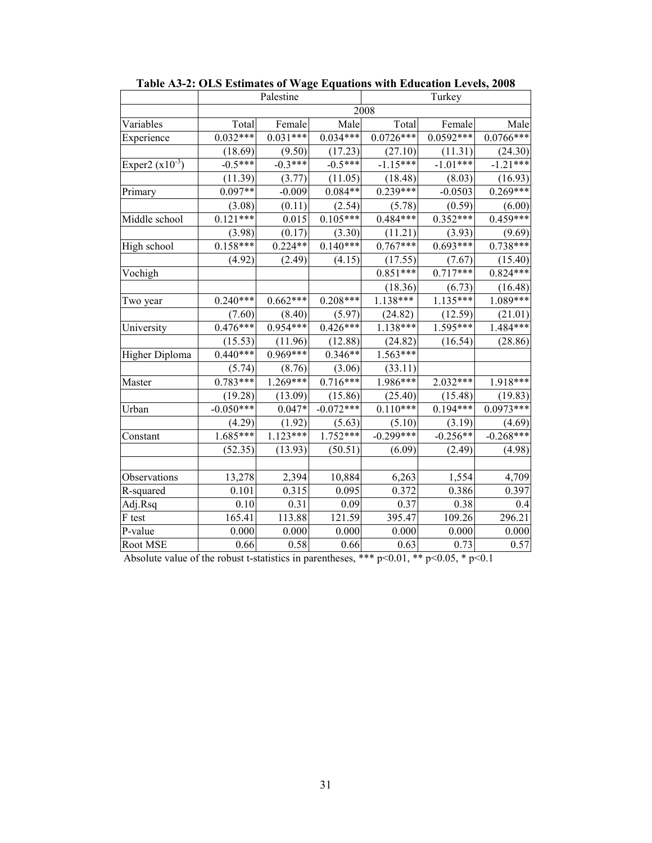|                     |             | Palestine  |             |             | Turkey      |             |
|---------------------|-------------|------------|-------------|-------------|-------------|-------------|
|                     |             |            |             | 2008        |             |             |
| Variables           | Total       | Female     | Male        | Total       | Female      | Male        |
| Experience          | $0.032***$  | $0.031***$ | $0.034***$  | $0.0726***$ | $0.0592***$ | $0.0766***$ |
|                     | (18.69)     | (9.50)     | (17.23)     | (27.10)     | (11.31)     | (24.30)     |
| Exper2 $(x10^{-3})$ | $-0.5***$   | $-0.3***$  | $-0.5***$   | $-1.15***$  | $-1.01***$  | $-1.21***$  |
|                     | (11.39)     | (3.77)     | (11.05)     | (18.48)     | (8.03)      | (16.93)     |
| Primary             | $0.097**$   | $-0.009$   | $0.084**$   | $0.239***$  | $-0.0503$   | $0.269***$  |
|                     | (3.08)      | (0.11)     | (2.54)      | (5.78)      | (0.59)      | (6.00)      |
| Middle school       | $0.121***$  | 0.015      | $0.105***$  | $0.484***$  | $0.352***$  | $0.459***$  |
|                     | (3.98)      | (0.17)     | (3.30)      | (11.21)     | (3.93)      | (9.69)      |
| High school         | $0.158***$  | $0.224**$  | $0.140***$  | $0.767***$  | $0.693***$  | $0.738***$  |
|                     | (4.92)      | (2.49)     | (4.15)      | (17.55)     | (7.67)      | (15.40)     |
| Vochigh             |             |            |             | $0.851***$  | $0.717***$  | $0.824***$  |
|                     |             |            |             | (18.36)     | (6.73)      | (16.48)     |
| Two year            | $0.240***$  | $0.662***$ | $0.208***$  | $1.138***$  | $1.135***$  | 1.089***    |
|                     | (7.60)      | (8.40)     | (5.97)      | (24.82)     | (12.59)     | (21.01)     |
| University          | $0.476***$  | $0.954***$ | $0.426***$  | $1.138***$  | $1.595***$  | $1.484***$  |
|                     | (15.53)     | (11.96)    | (12.88)     | (24.82)     | (16.54)     | (28.86)     |
| Higher Diploma      | $0.440***$  | $0.969***$ | $0.346**$   | $1.563***$  |             |             |
|                     | (5.74)      | (8.76)     | (3.06)      | (33.11)     |             |             |
| Master              | $0.783***$  | 1.269***   | $0.716***$  | 1.986***    | $2.032***$  | 1.918***    |
|                     | (19.28)     | (13.09)    | (15.86)     | (25.40)     | (15.48)     | (19.83)     |
| Urban               | $-0.050***$ | $0.047*$   | $-0.072***$ | $0.110***$  | $0.194***$  | $0.0973***$ |
|                     | (4.29)      | (1.92)     | (5.63)      | (5.10)      | (3.19)      | (4.69)      |
| Constant            | 1.685***    | $1.123***$ | 1.752***    | $-0.299***$ | $-0.256**$  | $-0.268***$ |
|                     | (52.35)     | (13.93)    | (50.51)     | (6.09)      | (2.49)      | (4.98)      |
|                     |             |            |             |             |             |             |
| Observations        | 13,278      | 2,394      | 10,884      | 6,263       | 1,554       | 4,709       |
| R-squared           | 0.101       | 0.315      | 0.095       | 0.372       | 0.386       | 0.397       |
| Adj.Rsq             | 0.10        | 0.31       | 0.09        | 0.37        | 0.38        | 0.4         |
| F test              | 165.41      | 113.88     | 121.59      | 395.47      | 109.26      | 296.21      |
| P-value             | 0.000       | 0.000      | 0.000       | 0.000       | 0.000       | 0.000       |
| Root MSE            | 0.66        | 0.58       | 0.66        | 0.63        | 0.73        | 0.57        |

**Table A3-2: OLS Estimates of Wage Equations with Education Levels, 2008**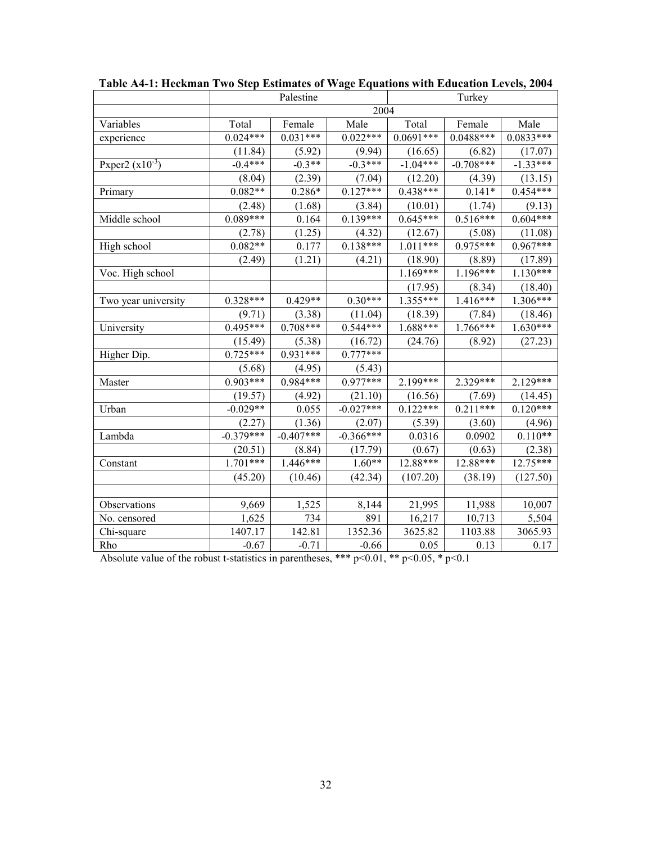|                                |                        | Palestine        |             | Turkey                                        |             |             |  |
|--------------------------------|------------------------|------------------|-------------|-----------------------------------------------|-------------|-------------|--|
|                                |                        |                  | 2004        |                                               |             |             |  |
| Variables                      | Total                  | Female           | Male        | Total                                         | Female      | Male        |  |
| experience                     | $0.024***$             | $0.031***$       | $0.022***$  | $0.0691***$                                   | $0.0488***$ | $0.0833***$ |  |
|                                | (11.84)                | (5.92)           | (9.94)      | (16.65)                                       | (6.82)      | (17.07)     |  |
| Pxper2 $(x10^{-3})$            | $-0.4***$              | $-0.3**$         | $-0.3***$   | $-1.04***$                                    | $-0.708***$ | $-1.33***$  |  |
|                                | (8.04)                 | (2.39)           | (7.04)      | (12.20)                                       | (4.39)      | (13.15)     |  |
| Primary                        | $0.082**$              | 0.286*           | $0.127***$  | $0.438***$                                    | $0.141*$    | $0.454***$  |  |
|                                | (2.48)                 | (1.68)           | (3.84)      | (10.01)                                       | (1.74)      | (9.13)      |  |
| Middle school                  | $0.089***$             | 0.164            | $0.139***$  | $0.645***$                                    | $0.516***$  | $0.604***$  |  |
|                                | (2.78)                 | (1.25)           | (4.32)      | (12.67)                                       | (5.08)      | (11.08)     |  |
| High school                    | $0.082**$              | 0.177            | $0.138***$  | $1.011***$                                    | $0.975***$  | $0.967***$  |  |
|                                | (2.49)                 | (1.21)           | (4.21)      | (18.90)                                       | (8.89)      | (17.89)     |  |
| Voc. High school               |                        |                  |             | $1.169***$                                    | $1.196***$  | 1.130***    |  |
|                                |                        |                  |             | (17.95)                                       | (8.34)      | (18.40)     |  |
| Two year university            | $0.328***$             | $0.429**$        | $0.30***$   | $1.355***$                                    | $1.416***$  | 1.306***    |  |
|                                | (9.71)                 | (3.38)           | (11.04)     | (18.39)                                       | (7.84)      | (18.46)     |  |
| University                     | $0.495***$             | $0.708***$       | $0.544***$  | $1.688***$                                    | $1.766***$  | $1.630***$  |  |
|                                | (15.49)                | (5.38)           | (16.72)     | (24.76)                                       | (8.92)      | (27.23)     |  |
| Higher Dip.                    | $0.725***$             | $0.931***$       | $0.777***$  |                                               |             |             |  |
|                                | (5.68)                 | (4.95)           | (5.43)      |                                               |             |             |  |
| Master                         | $0.903***$             | 0.984***         | $0.977***$  | $2.199***$                                    | 2.329***    | $2.129***$  |  |
|                                | (19.57)                | (4.92)           | (21.10)     | (16.56)                                       | (7.69)      | (14.45)     |  |
| Urban                          | $-0.029**$             | 0.055            | $-0.027***$ | $0.122***$                                    | $0.211***$  | $0.120***$  |  |
|                                | (2.27)                 | (1.36)           | (2.07)      | (5.39)                                        | (3.60)      | (4.96)      |  |
| Lambda                         | $-0.379***$            | $-0.407***$      | $-0.366***$ | 0.0316                                        | 0.0902      | $0.110**$   |  |
|                                | (20.51)                | (8.84)           | (17.79)     | (0.67)                                        | (0.63)      | (2.38)      |  |
| Constant                       | $1.701***$             | $1.446***$       | $1.60**$    | $12.88***$                                    | 12.88***    | $12.75***$  |  |
|                                | (45.20)                | (10.46)          | (42.34)     | (107.20)                                      | (38.19)     | (127.50)    |  |
|                                |                        |                  |             |                                               |             |             |  |
| Observations                   | 9,669                  | 1,525            | 8,144       | 21,995                                        | 11,988      | 10,007      |  |
| No. censored                   | 1,625                  | 734              | 891         | 16,217                                        | 10,713      | 5,504       |  |
| Chi-square                     | 1407.17                | 142.81           | 1352.36     | 3625.82                                       | 1103.88     | 3065.93     |  |
| Rho<br>$\lambda$ 1. 1. 1. 0.1. | $-0.67$<br>$-1.111111$ | $-0.71$<br>41.11 | $-0.66$     | 0.05<br>$444 - 20.01$ $44 - 20.05$ $4 - 20.1$ | 0.13        | 0.17        |  |

**Table A4-1: Heckman Two Step Estimates of Wage Equations with Education Levels, 2004**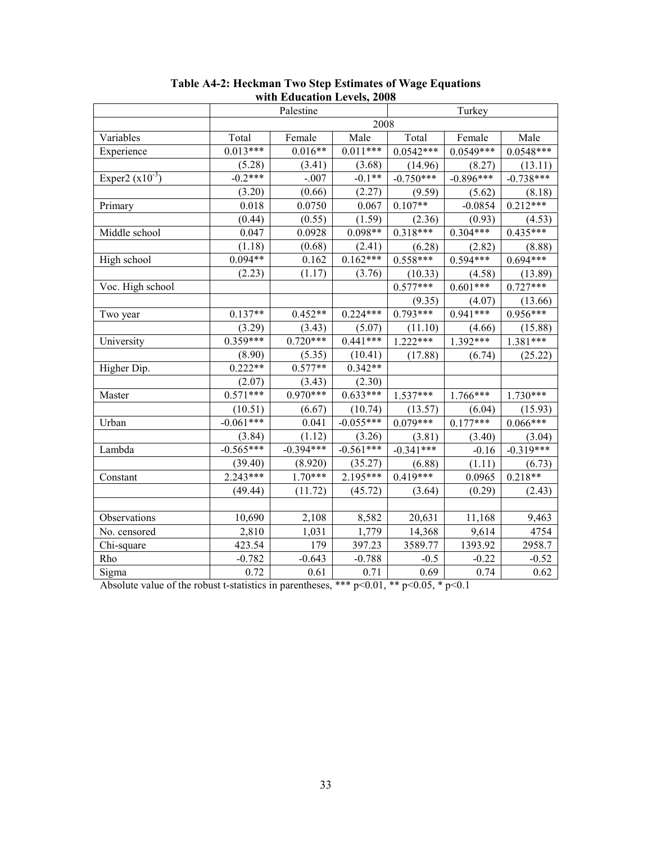|                     |             | Palestine   |             | Turkey      |             |             |  |
|---------------------|-------------|-------------|-------------|-------------|-------------|-------------|--|
|                     |             |             | 2008        |             |             |             |  |
| Variables           | Total       | Female      | Male        | Total       | Female      | Male        |  |
| Experience          | $0.013***$  | $0.016**$   | $0.011***$  | $0.0542***$ | $0.0549***$ | $0.0548***$ |  |
|                     | (5.28)      | (3.41)      | (3.68)      | (14.96)     | (8.27)      | (13.11)     |  |
| Exper2 $(x10^{-3})$ | $-0.2***$   | $-.007$     | $-0.1**$    | $-0.750***$ | $-0.896***$ | $-0.738***$ |  |
|                     | (3.20)      | (0.66)      | (2.27)      | (9.59)      | (5.62)      | (8.18)      |  |
| Primary             | 0.018       | 0.0750      | 0.067       | $0.107**$   | $-0.0854$   | $0.212***$  |  |
|                     | (0.44)      | (0.55)      | (1.59)      | (2.36)      | (0.93)      | (4.53)      |  |
| Middle school       | 0.047       | 0.0928      | $0.098**$   | $0.318***$  | $0.304***$  | $0.435***$  |  |
|                     | (1.18)      | (0.68)      | (2.41)      | (6.28)      | (2.82)      | (8.88)      |  |
| High school         | $0.094**$   | 0.162       | $0.162***$  | $0.558***$  | $0.594***$  | $0.694***$  |  |
|                     | (2.23)      | (1.17)      | (3.76)      | (10.33)     | (4.58)      | (13.89)     |  |
| Voc. High school    |             |             |             | $0.577***$  | $0.601***$  | $0.727***$  |  |
|                     |             |             |             | (9.35)      | (4.07)      | (13.66)     |  |
| Two year            | $0.137**$   | $0.452**$   | $0.224***$  | $0.793***$  | $0.941***$  | $0.956***$  |  |
|                     | (3.29)      | (3.43)      | (5.07)      | (11.10)     | (4.66)      | (15.88)     |  |
| University          | $0.359***$  | $0.720***$  | $0.441***$  | $1.222***$  | 1.392***    | $1.381***$  |  |
|                     | (8.90)      | (5.35)      | (10.41)     | (17.88)     | (6.74)      | (25.22)     |  |
| Higher Dip.         | $0.222**$   | $0.577**$   | $0.342**$   |             |             |             |  |
|                     | (2.07)      | (3.43)      | (2.30)      |             |             |             |  |
| Master              | $0.571***$  | $0.970***$  | $0.633***$  | $1.537***$  | $1.766***$  | $1.730***$  |  |
|                     | (10.51)     | (6.67)      | (10.74)     | (13.57)     | (6.04)      | (15.93)     |  |
| Urban               | $-0.061***$ | 0.041       | $-0.055***$ | $0.079***$  | $0.177***$  | $0.066***$  |  |
|                     | (3.84)      | (1.12)      | (3.26)      | (3.81)      | (3.40)      | (3.04)      |  |
| Lambda              | $-0.565***$ | $-0.394***$ | $-0.561***$ | $-0.341***$ | $-0.16$     | $-0.319***$ |  |
|                     | (39.40)     | (8.920)     | (35.27)     | (6.88)      | (1.11)      | (6.73)      |  |
| Constant            | $2.243***$  | $1.70***$   | $2.195***$  | $0.419***$  | 0.0965      | $0.218**$   |  |
|                     | (49.44)     | (11.72)     | (45.72)     | (3.64)      | (0.29)      | (2.43)      |  |
|                     |             |             |             |             |             |             |  |
| Observations        | 10,690      | 2,108       | 8,582       | 20,631      | 11,168      | 9,463       |  |
| No. censored        | 2,810       | 1,031       | 1,779       | 14,368      | 9,614       | 4754        |  |
| Chi-square          | 423.54      | 179         | 397.23      | 3589.77     | 1393.92     | 2958.7      |  |
| Rho                 | $-0.782$    | $-0.643$    | $-0.788$    | $-0.5$      | $-0.22$     | $-0.52$     |  |
| Sigma               | 0.72        | 0.61        | 0.71        | 0.69        | 0.74        | 0.62        |  |

**Table A4-2: Heckman Two Step Estimates of Wage Equations with Education Levels, 2008**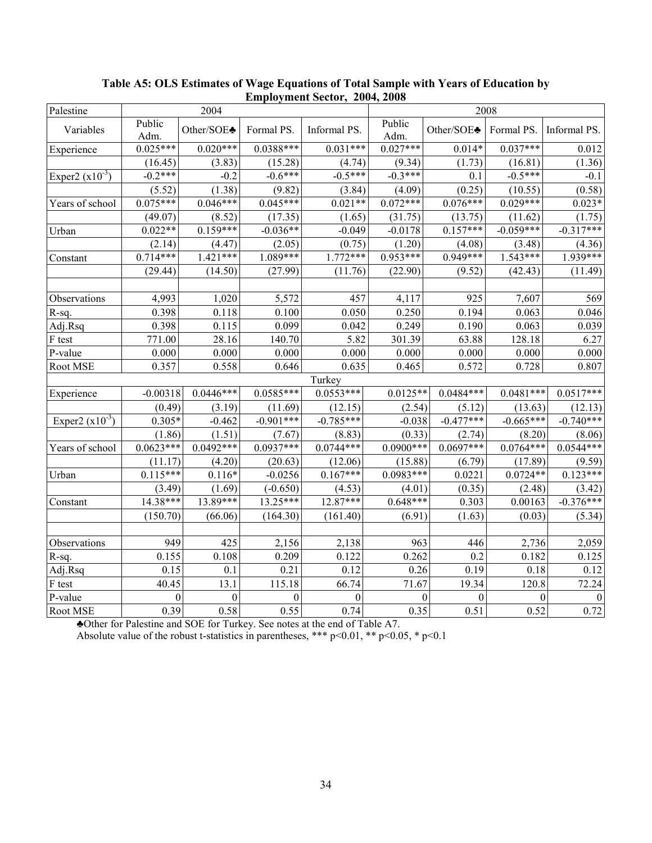| Palestine           | 10, 100<br>2004 |                       |             |              | 2008             |                |                |                  |
|---------------------|-----------------|-----------------------|-------------|--------------|------------------|----------------|----------------|------------------|
| Variables           | Public<br>Adm.  | Other/SOE             | Formal PS.  | Informal PS. | Public<br>Adm.   | Other/SOE      | Formal PS.     | Informal PS.     |
| Experience          | $0.025***$      | $0.020***$            | $0.0388***$ | $0.031***$   | $0.027***$       | $0.014*$       | $0.037***$     | 0.012            |
|                     | (16.45)         | (3.83)                | (15.28)     | (4.74)       | (9.34)           | (1.73)         | (16.81)        | (1.36)           |
| Exper2 $(x10^{-3})$ | $-0.2***$       | $-0.2$                | $-0.6***$   | $-0.5***$    | $-0.3***$        | 0.1            | $-0.5***$      | $-0.1$           |
|                     | (5.52)          | (1.38)                | (9.82)      | (3.84)       | (4.09)           | (0.25)         | (10.55)        | (0.58)           |
| Years of school     | $0.075***$      | $0.046***$            | $0.045***$  | $0.021**$    | $0.072***$       | $0.076***$     | $0.029***$     | $0.023*$         |
|                     | (49.07)         | (8.52)                | (17.35)     | (1.65)       | (31.75)          | (13.75)        | (11.62)        | (1.75)           |
| Urban               | $0.022**$       | $0.159***$            | $-0.036**$  | $-0.049$     | $-0.0178$        | $0.157***$     | $-0.059***$    | $-0.317***$      |
|                     | (2.14)          | (4.47)                | (2.05)      | (0.75)       | (1.20)           | (4.08)         | (3.48)         | (4.36)           |
| Constant            | $0.714***$      | $1.42$ <sup>***</sup> | $1.089***$  | $1.772***$   | $0.953***$       | $0.949***$     | $1.543***$     | $1.939***$       |
|                     | (29.44)         | (14.50)               | (27.99)     | (11.76)      | (22.90)          | (9.52)         | (42.43)        | (11.49)          |
|                     |                 |                       |             |              |                  |                |                |                  |
| Observations        | 4,993           | 1,020                 | 5,572       | 457          | 4,117            | 925            | 7,607          | 569              |
| R-sq.               | 0.398           | 0.118                 | 0.100       | 0.050        | 0.250            | 0.194          | 0.063          | 0.046            |
| Adj.Rsq             | 0.398           | 0.115                 | 0.099       | 0.042        | 0.249            | 0.190          | 0.063          | 0.039            |
| F test              | 771.00          | 28.16                 | 140.70      | 5.82         | 301.39           | 63.88          | 128.18         | 6.27             |
| P-value             | 0.000           | 0.000                 | 0.000       | 0.000        | 0.000            | 0.000          | 0.000          | 0.000            |
| Root MSE            | 0.357           | 0.558                 | 0.646       | 0.635        | 0.465            | 0.572          | 0.728          | 0.807            |
|                     |                 |                       |             | Turkey       |                  |                |                |                  |
| Experience          | $-0.00318$      | $0.0446***$           | $0.0585***$ | $0.0553***$  | $0.0125**$       | $0.0484***$    | $0.0481***$    | $0.0517***$      |
|                     | (0.49)          | (3.19)                | (11.69)     | (12.15)      | (2.54)           | (5.12)         | (13.63)        | (12.13)          |
| Exper2 $(x10^{-3})$ | $0.305*$        | $-0.462$              | $-0.901***$ | $-0.785***$  | $-0.038$         | $-0.477***$    | $-0.665***$    | $-0.740***$      |
|                     | (1.86)          | (1.51)                | (7.67)      | (8.83)       | (0.33)           | (2.74)         | (8.20)         | (8.06)           |
| Years of school     | $0.0623***$     | $0.0492***$           | $0.0937***$ | $0.0744***$  | $0.0900***$      | $0.0697***$    | $0.0764***$    | $0.0544***$      |
|                     | (11.17)         | (4.20)                | (20.63)     | (12.06)      | (15.88)          | (6.79)         | (17.89)        | (9.59)           |
| Urban               | $0.115***$      | $0.116*$              | $-0.0256$   | $0.167***$   | $0.0983***$      | 0.0221         | $0.0724**$     | $0.123***$       |
|                     | (3.49)          | (1.69)                | $(-0.650)$  | (4.53)       | (4.01)           | (0.35)         | (2.48)         | (3.42)           |
| Constant            | 14.38***        | $13.89***$            | $13.25***$  | 12.87***     | $0.648***$       | 0.303          | 0.00163        | $-0.376***$      |
|                     | (150.70)        | (66.06)               | (164.30)    | (161.40)     | (6.91)           | (1.63)         | (0.03)         | (5.34)           |
|                     |                 |                       |             |              |                  |                |                |                  |
| Observations        | 949             | 425                   | 2,156       | 2,138        | 963              | 446            | 2,736          | 2,059            |
| R-sq.               | 0.155           | 0.108                 | 0.209       | 0.122        | 0.262            | 0.2            | 0.182          | 0.125            |
| Adj.Rsq             | 0.15            | 0.1                   | 0.21        | 0.12         | 0.26             | 0.19           | 0.18           | 0.12             |
| F test              | 40.45           | 13.1                  | 115.18      | 66.74        | 71.67            | 19.34          | 120.8          | 72.24            |
| P-value             | $\theta$        | $\overline{0}$        | $\theta$    | $\theta$     | $\boldsymbol{0}$ | $\overline{0}$ | $\overline{0}$ | $\boldsymbol{0}$ |
| Root MSE            | 0.39            | 0.58                  | 0.55        | 0.74         | 0.35             | 0.51           | 0.52           | 0.72             |

**Table A5: OLS Estimates of Wage Equations of Total Sample with Years of Education by Employment Sector, 2004, 2008** 

♣Other for Palestine and SOE for Turkey. See notes at the end of Table A7. Absolute value of the robust t-statistics in parentheses, \*\*\*  $p<0.01$ , \*\*  $p<0.05$ , \*  $p<0.1$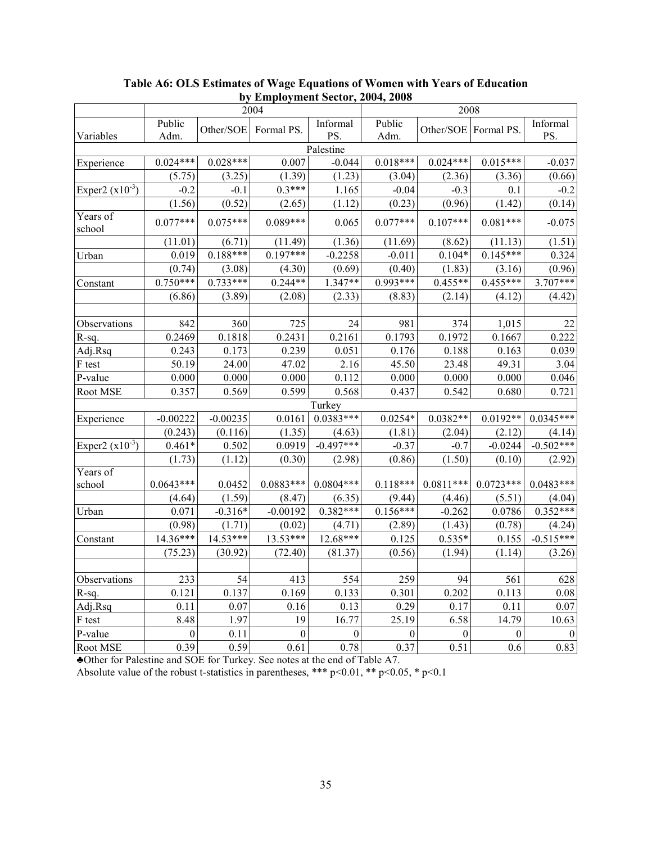|                     | 2004           |            |                      |                  | 2008           |                      |                  |                  |  |  |
|---------------------|----------------|------------|----------------------|------------------|----------------|----------------------|------------------|------------------|--|--|
| Variables           | Public<br>Adm. |            | Other/SOE Formal PS. | Informal<br>PS.  | Public<br>Adm. | Other/SOE Formal PS. |                  | Informal<br>PS.  |  |  |
| Palestine           |                |            |                      |                  |                |                      |                  |                  |  |  |
| Experience          | $0.024***$     | $0.028***$ | 0.007                | $-0.044$         | $0.018***$     | $0.024***$           | $0.015***$       | $-0.037$         |  |  |
|                     | (5.75)         | (3.25)     | (1.39)               | (1.23)           | (3.04)         | (2.36)               | (3.36)           | (0.66)           |  |  |
| Exper2 $(x10^{-3})$ | $-0.2$         | $-0.1$     | $0.3***$             | 1.165            | $-0.04$        | $-0.3$               | 0.1              | $-0.2$           |  |  |
|                     | (1.56)         | (0.52)     | (2.65)               | (1.12)           | (0.23)         | (0.96)               | (1.42)           | (0.14)           |  |  |
| Years of<br>school  | $0.077***$     | $0.075***$ | $0.089***$           | 0.065            | $0.077***$     | $0.107***$           | $0.081***$       | $-0.075$         |  |  |
|                     | (11.01)        | (6.71)     | (11.49)              | (1.36)           | (11.69)        | (8.62)               | (11.13)          | (1.51)           |  |  |
| Urban               | 0.019          | $0.188***$ | $0.197***$           | $-0.2258$        | $-0.011$       | $0.104*$             | $0.145***$       | 0.324            |  |  |
|                     | (0.74)         | (3.08)     | (4.30)               | (0.69)           | (0.40)         | (1.83)               | (3.16)           | (0.96)           |  |  |
| Constant            | $0.750***$     | $0.733***$ | $0.244**$            | $1.347**$        | $0.993***$     | $0.455**$            | $0.455***$       | $3.707***$       |  |  |
|                     | (6.86)         | (3.89)     | (2.08)               | (2.33)           | (8.83)         | (2.14)               | (4.12)           | (4.42)           |  |  |
|                     |                |            |                      |                  |                |                      |                  |                  |  |  |
| Observations        | 842            | 360        | 725                  | 24               | 981            | 374                  | 1,015            | 22               |  |  |
| R-sq.               | 0.2469         | 0.1818     | 0.2431               | 0.2161           | 0.1793         | 0.1972               | 0.1667           | 0.222            |  |  |
| Adj.Rsq             | 0.243          | 0.173      | 0.239                | 0.051            | 0.176          | 0.188                | 0.163            | 0.039            |  |  |
| F test              | 50.19          | 24.00      | 47.02                | 2.16             | 45.50          | 23.48                | 49.31            | 3.04             |  |  |
| P-value             | 0.000          | 0.000      | 0.000                | 0.112            | 0.000          | 0.000                | 0.000            | 0.046            |  |  |
| Root MSE            | 0.357          | 0.569      | 0.599                | 0.568            | 0.437          | 0.542                | 0.680            | 0.721            |  |  |
|                     |                |            |                      | Turkey           |                |                      |                  |                  |  |  |
| Experience          | $-0.00222$     | $-0.00235$ | 0.0161               | $0.0383***$      | $0.0254*$      | $0.0382**$           | $0.0192**$       | $0.0345***$      |  |  |
|                     | (0.243)        | (0.116)    | (1.35)               | (4.63)           | (1.81)         | (2.04)               | (2.12)           | (4.14)           |  |  |
| Exper2 $(x10^{-3})$ | $0.461*$       | 0.502      | 0.0919               | $-0.497***$      | $-0.37$        | $-0.7$               | $-0.0244$        | $-0.502***$      |  |  |
|                     | (1.73)         | (1.12)     | (0.30)               | (2.98)           | (0.86)         | (1.50)               | (0.10)           | (2.92)           |  |  |
| Years of            |                |            |                      |                  |                |                      |                  |                  |  |  |
| school              | $0.0643***$    | 0.0452     | $0.0883***$          | $0.0804***$      | $0.118***$     | $0.0811***$          | $0.0723***$      | $0.0483***$      |  |  |
|                     | (4.64)         | (1.59)     | (8.47)               | (6.35)           | (9.44)         | (4.46)               | (5.51)           | (4.04)           |  |  |
| Urban               | 0.071          | $-0.316*$  | $-0.00192$           | $0.382***$       | $0.156***$     | $-0.262$             | 0.0786           | $0.352***$       |  |  |
|                     | (0.98)         | (1.71)     | (0.02)               | (4.71)           | (2.89)         | (1.43)               | (0.78)           | (4.24)           |  |  |
| Constant            | $14.36***$     | 14.53***   | 13.53***             | $12.68***$       | 0.125          | $0.535*$             | 0.155            | $-0.515***$      |  |  |
|                     | (75.23)        | (30.92)    | (72.40)              | (81.37)          | (0.56)         | (1.94)               | (1.14)           | (3.26)           |  |  |
|                     |                |            |                      |                  |                |                      |                  |                  |  |  |
| Observations        | 233            | 54         | 413                  | 554              | 259            | 94                   | 561              | 628              |  |  |
| R-sq.               | 0.121          | 0.137      | 0.169                | 0.133            | 0.301          | 0.202                | 0.113            | 0.08             |  |  |
| Adj.Rsq             | 0.11           | 0.07       | $0.16\,$             | 0.13             | 0.29           | 0.17                 | 0.11             | 0.07             |  |  |
| F test              | 8.48           | 1.97       | 19                   | 16.77            | 25.19          | 6.58                 | 14.79            | 10.63            |  |  |
| P-value             | $\theta$       | 0.11       | $\boldsymbol{0}$     | $\boldsymbol{0}$ | $\theta$       | $\boldsymbol{0}$     | $\boldsymbol{0}$ | $\boldsymbol{0}$ |  |  |
| Root MSE            | 0.39           | 0.59       | 0.61                 | 0.78             | 0.37           | 0.51                 | 0.6              | 0.83             |  |  |

#### **Table A6: OLS Estimates of Wage Equations of Women with Years of Education by Employment Sector, 2004, 2008**

♣Other for Palestine and SOE for Turkey. See notes at the end of Table A7.